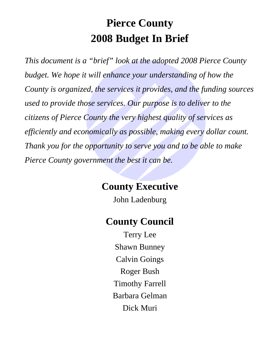# **Pierce County 2008 Budget In Brief**

*This document is a "brief" look at the adopted 2008 Pierce County budget. We hope it will enhance your understanding of how the County is organized, the services it provides, and the funding sources used to provide those services. Our purpose is to deliver to the citizens of Pierce County the very highest quality of services as efficiently and economically as possible, making every dollar count. Thank you for the opportunity to serve you and to be able to make Pierce County government the best it can be.* 

## **County Executive**

John Ladenburg

## **County Council**

Terry Lee Shawn Bunney Calvin Goings Roger Bush Timothy Farrell Barbara Gelman Dick Muri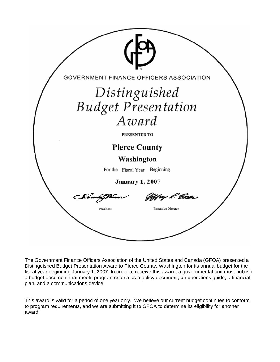

The Government Finance Officers Association of the United States and Canada (GFOA) presented a Distinguished Budget Presentation Award to Pierce County, Washington for its annual budget for the fiscal year beginning January 1, 2007. In order to receive this award, a governmental unit must publish a budget document that meets program criteria as a policy document, an operations guide, a financial plan, and a communications device.

This award is valid for a period of one year only. We believe our current budget continues to conform to program requirements, and we are submitting it to GFOA to determine its eligibility for another award.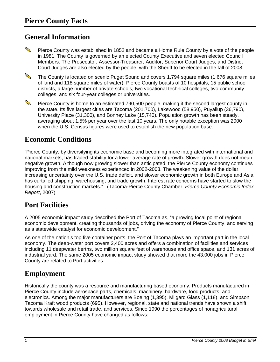## **General Information**

**Change** 

Pierce County was established in 1852 and became a Home Rule County by a vote of the people in 1981. The County is governed by an elected County Executive and seven elected Council Members. The Prosecutor, Assessor-Treasurer, Auditor, Superior Court Judges, and District Court Judges are also elected by the people, with the Sheriff to be elected in the fall of 2008.



The County is located on scenic Puget Sound and covers 1,794 square miles (1,676 square miles of land and 118 square miles of water). Pierce County boasts of 10 hospitals, 15 public school districts, a large number of private schools, two vocational technical colleges, two community colleges, and six four-year colleges or universities.

**Change of the Contract of the Contract of the Contract of the Contract of The Contract of The Contract of The Co** Pierce County is home to an estimated 790,500 people, making it the second largest county in the state. Its five largest cities are Tacoma (201,700), Lakewood (58,950), Puyallup (36,790), University Place (31,300), and Bonney Lake (15,740). Population growth has been steady, averaging about 1.5% per year over the last 10 years. The only notable exception was 2000 when the U.S. Census figures were used to establish the new population base.

## **Economic Conditions**

"Pierce County, by diversifying its economic base and becoming more integrated with international and national markets, has traded stability for a lower average rate of growth. Slower growth does not mean negative growth. Although now growing slower than anticipated, the Pierce County economy continues improving from the mild weakness experienced in 2002-2003. The weakening value of the dollar, increasing uncertainty over the U.S. trade deficit, and slower economic growth in both Europe and Asia has curtailed shipping, warehousing, and trade growth. Interest rate concerns have started to slow the housing and construction markets." (Tacoma-Pierce County Chamber, *Pierce County Economic Index Report*, 2007)

## **Port Facilities**

A 2005 economic impact study described the Port of Tacoma as, "a growing focal point of regional economic development, creating thousands of jobs, driving the economy of Pierce County, and serving as a statewide catalyst for economic development."

As one of the nation's top five container ports, the Port of Tacoma plays an important part in the local economy. The deep-water port covers 2,400 acres and offers a combination of facilities and services including 11 deepwater berths, two million square feet of warehouse and office space, and 131 acres of industrial yard. The same 2005 economic impact study showed that more the 43,000 jobs in Pierce County are related to Port activities.

## **Employment**

Historically the county was a resource and manufacturing based economy. Products manufactured in Pierce County include aerospace parts, chemicals, machinery, hardware, food products, and electronics. Among the major manufacturers are Boeing (1,395), Milgard Glass (1,118), and Simpson Tacoma Kraft wood products (695). However, regional, state and national trends have shown a shift towards wholesale and retail trade, and services. Since 1990 the percentages of nonagricultural employment in Pierce County have changed as follows: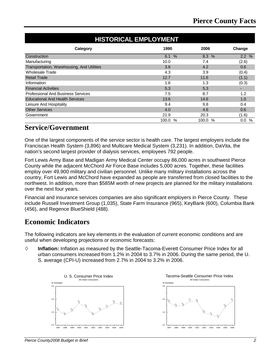| <b>HISTORICAL EMPLOYMENT</b>               |       |              |                  |  |  |  |  |
|--------------------------------------------|-------|--------------|------------------|--|--|--|--|
| Category                                   | 1990  | 2006         | Change           |  |  |  |  |
| Construction                               | 6.1   | 8.3%<br>$\%$ | 2.2%             |  |  |  |  |
| Manufacturing                              | 10.0  | 7.4          | (2.6)            |  |  |  |  |
| Transportation, Warehousing, And Utilities | 3.6   | 4.2          | 0.6              |  |  |  |  |
| Wholesale Trade                            | 4.3   | 3.9          | (0.4)            |  |  |  |  |
| <b>Retail Trade</b>                        | 12.7  | 11.6         | (1.1)            |  |  |  |  |
| Information                                | 1.6   | 1.3          | (0.3)            |  |  |  |  |
| <b>Financial Activities</b>                | 5.3   | 5.3          |                  |  |  |  |  |
| <b>Professional And Business Services</b>  | 7.5   | 8.7          | 1.2              |  |  |  |  |
| <b>Educational And Health Services</b>     | 13.6  | 14.6         | 1.0              |  |  |  |  |
| Leisure And Hospitality                    | 9.4   | 9.8          | 0.4              |  |  |  |  |
| <b>Other Services</b>                      | 4.0   | 4.6          | 0.6              |  |  |  |  |
| Government                                 | 21.9  | 20.3         | (1.6)            |  |  |  |  |
|                                            | 100.0 | %<br>100.0   | $\%$<br>%<br>0.0 |  |  |  |  |

## **Service/Government**

One of the largest components of the service sector is health care. The largest employers include the Franciscan Health System (3,896) and Multicare Medical System (3,231). In addition, DaVita, the nation's second largest provider of dialysis services, employees 792 people.

Fort Lewis Army Base and Madigan Army Medical Center occupy 86,000 acres in southwest Pierce County while the adjacent McChord Air Force Base includes 5,000 acres. Together, these facilities employ over 49,900 military and civilian personnel. Unlike many military installations across the country, Fort Lewis and McChord have expanded as people are transferred from closed facilities to the northwest. In addition, more than \$585M worth of new projects are planned for the military installations over the next four years.

Financial and insurance services companies are also significant employers in Pierce County. These include Russell Investment Group (1,035), State Farm Insurance (965), KeyBank (600), Columbia Bank (456), and Regence BlueShield (488).

## **Economic Indicators**

The following indicators are key elements in the evaluation of current economic conditions and are useful when developing projections or economic forecasts:

 **Inflation:** Inflation as measured by the Seattle-Tacoma-Everett Consumer Price Index for all urban consumers increased from 1.2% in 2004 to 3.7% in 2006. During the same period, the U. S. average (CPI-U) increased from 2.7% in 2004 to 3.2% in 2006.



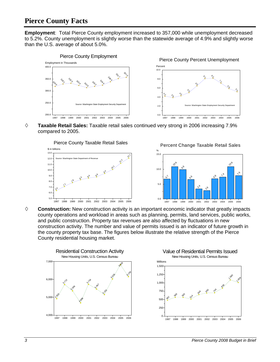## **Pierce County Facts**

**Employment**: Total Pierce County employment increased to 357,000 while unemployment decreased to 5.2%. County unemployment is slightly worse than the statewide average of 4.9% and slightly worse than the U.S. average of about 5.0%.



 **Taxable Retail Sales:** Taxable retail sales continued very strong in 2006 increasing 7.9% compared to 2005.



 $\diamond$  **Construction:** New construction activity is an important economic indicator that greatly impacts county operations and workload in areas such as planning, permits, land services, public works, and public construction. Property tax revenues are also affected by fluctuations in new construction activity. The number and value of permits issued is an indicator of future growth in the county property tax base. The figures below illustrate the relative strength of the Pierce County residential housing market.



10.9

 $\gamma_{\rm o}$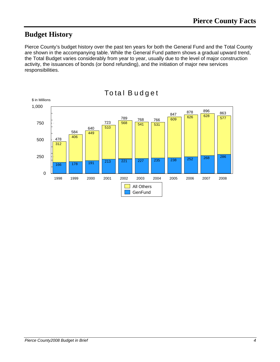## **Budget History**

Pierce County's budget history over the past ten years for both the General Fund and the Total County are shown in the accompanying table. While the General Fund pattern shows a gradual upward trend, the Total Budget varies considerably from year to year, usually due to the level of major construction activity, the issuances of bonds (or bond refunding), and the initiation of major new services responsibilities.

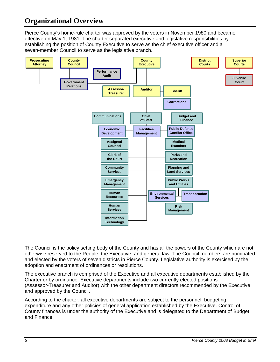## **Organizational Overview**

Pierce County's home-rule charter was approved by the voters in November 1980 and became effective on May 1, 1981. The charter separated executive and legislative responsibilities by establishing the position of County Executive to serve as the chief executive officer and a seven-member Council to serve as the legislative branch.



The Council is the policy setting body of the County and has all the powers of the County which are not otherwise reserved to the People, the Executive, and general law. The Council members are nominated and elected by the voters of seven districts in Pierce County. Legislative authority is exercised by the adoption and enactment of ordinances or resolutions.

The executive branch is comprised of the Executive and all executive departments established by the Charter or by ordinance. Executive departments include two currently elected positions (Assessor-Treasurer and Auditor) with the other department directors recommended by the Executive and approved by the Council.

According to the charter, all executive departments are subject to the personnel, budgeting, expenditure and any other policies of general application established by the Executive. Control of County finances is under the authority of the Executive and is delegated to the Department of Budget and Finance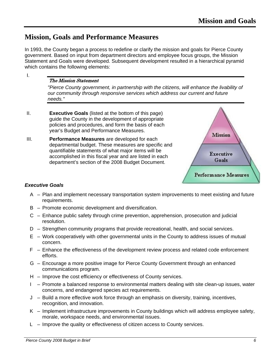## **Mission, Goals and Performance Measures**

In 1993, the County began a process to redefine or clarify the mission and goals for Pierce County government. Based on input from department directors and employee focus groups, the Mission Statement and Goals were developed. Subsequent development resulted in a hierarchical pyramid which contains the following elements:

I.

#### The Mission Statement

*"Pierce County government, in partnership with the citizens, will enhance the livability of our community through responsive services which address our current and future needs."* 

- II. **Executive Goals** (listed at the bottom of this page) guide the County in the development of appropriate policies and procedures, and form the basis of each year's Budget and Performance Measures.
- III. **Performance Measures** are developed for each departmental budget. These measures are specific and quantifiable statements of what major items will be accomplished in this fiscal year and are listed in each department's section of the 2008 Budget Document.



#### *Executive Goals*

- A Plan and implement necessary transportation system improvements to meet existing and future requirements.
- B Promote economic development and diversification.
- C Enhance public safety through crime prevention, apprehension, prosecution and judicial resolution.
- D Strengthen community programs that provide recreational, health, and social services.
- E Work cooperatively with other governmental units in the County to address issues of mutual concern.
- F Enhance the effectiveness of the development review process and related code enforcement efforts.
- G Encourage a more positive image for Pierce County Government through an enhanced communications program.
- H Improve the cost efficiency or effectiveness of County services.
- I Promote a balanced response to environmental matters dealing with site clean-up issues, water concerns, and endangered species act requirements.
- J Build a more effective work force through an emphasis on diversity, training, incentives, recognition, and innovation.
- K Implement infrastructure improvements in County buildings which will address employee safety, morale, workspace needs, and environmental issues.
- L Improve the quality or effectiveness of citizen access to County services.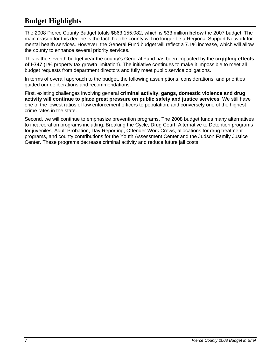## **Budget Highlights**

The 2008 Pierce County Budget totals \$863,155,082, which is \$33 million **below** the 2007 budget. The main reason for this decline is the fact that the county will no longer be a Regional Support Network for mental health services. However, the General Fund budget will reflect a 7.1% increase, which will allow the county to enhance several priority services.

This is the seventh budget year the county's General Fund has been impacted by the **crippling effects of I-747** (1% property tax growth limitation). The initiative continues to make it impossible to meet all budget requests from department directors and fully meet public service obligations.

In terms of overall approach to the budget, the following assumptions, considerations, and priorities guided our deliberations and recommendations:

First, existing challenges involving general **criminal activity, gangs, domestic violence and drug activity will continue to place great pressure on public safety and justice services**. We still have one of the lowest ratios of law enforcement officers to population, and conversely one of the highest crime rates in the state.

Second, we will continue to emphasize prevention programs. The 2008 budget funds many alternatives to incarceration programs including: Breaking the Cycle, Drug Court, Alternative to Detention programs for juveniles, Adult Probation, Day Reporting, Offender Work Crews, allocations for drug treatment programs, and county contributions for the Youth Assessment Center and the Judson Family Justice Center. These programs decrease criminal activity and reduce future jail costs.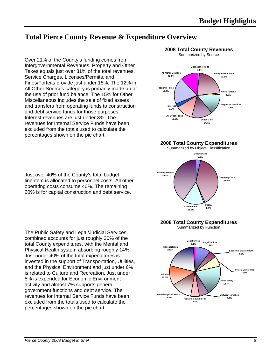## **Total Pierce County Revenue & Expenditure Overview**

Over 21% of the County's funding comes from Intergovernmental Revenues. Property and Other Taxes equals just over 31% of the total revenues. Service Charges, Licenses/Permits, and Fines/Forfeits provide just under 18%. The 12% in All Other Sources category is primarily made up of the use of prior fund balance. The 15% for Other Miscellaneous includes the sale of fixed assets and transfers from operating funds to construction and debt service funds for those purposes. Interest revenues are just under 3%. The revenues for Internal Service Funds have been excluded from the totals used to calculate the percentages shown on the pie chart.

#### **2008 Total County Revenues**

Summarized by Source



**2008 Total County Expenditures** 



## **2008 Total County Expenditures**

Summarized by Function



Just over 40% of the County's total budget line-item is allocated to personnel costs. All other operating costs consume 40%. The remaining 20% is for capital construction and debt service.

The Public Safety and Legal/Judicial Services combined accounts for just roughly 30% of the total County expenditures, with the Mental and Physical Health system absorbing roughly 14%. Just under 40% of the total expenditures is invested in the support of Transportation, Utilities, and the Physical Environment and just under 6% is related to Culture and Recreation. Just under 5% is expended for Economic Environment activity and almost 7% supports general government functions and debt service. The revenues for Internal Service Funds have been excluded from the totals used to calculate the percentages shown on the pie chart.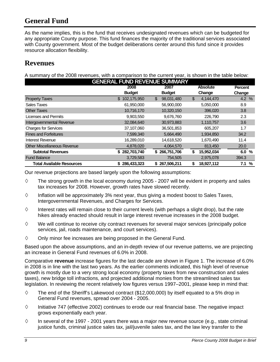## **General Fund**

As the name implies, this is the fund that receives undesignated revenues which can be budgeted for any appropriate County purpose. This fund finances the majority of the traditional services associated with County government. Most of the budget deliberations center around this fund since it provides resource allocation flexibility.

## **Revenues**

A summary of the 2008 revenues, with a comparison to the current year, is shown in the table below:

| <b>GENERAL FUND REVENUE SUMMARY</b> |               |                  |                  |                |  |  |  |
|-------------------------------------|---------------|------------------|------------------|----------------|--|--|--|
|                                     | 2008          | 2007             | <b>Absolute</b>  | <b>Percent</b> |  |  |  |
|                                     | <b>Budget</b> | <b>Budget</b>    | Change           | Change         |  |  |  |
| <b>Property Taxes</b>               | \$102,175,950 | \$<br>98,031,480 | \$<br>4,144,470  | 4.2%           |  |  |  |
| Sales Taxes                         | 61,950,000    | 56,900,000       | 5,050,000        | 8.9            |  |  |  |
| <b>Other Taxes</b>                  | 10,716,170    | 10,320,150       | 396,020          | 3.8            |  |  |  |
| Licenses and Permits                | 9,903,550     | 9.676.760        | 226,790          | 2.3            |  |  |  |
| Intergovernmental Revenue           | 32,084,640    | 30,973,883       | 1,110,757        | 3.6            |  |  |  |
| <b>Charges for Services</b>         | 37,107,060    | 36,501,853       | 605.207          | 1.7            |  |  |  |
| <b>Fines and Forfeitures</b>        | 7,599,340     | 5,664,490        | 1,934,850        | 34.2           |  |  |  |
| Interest Revenue                    | 16,289,010    | 14,618,520       | 1,670,490        | 11.4           |  |  |  |
| <b>Other Miscellaneous Revenue</b>  | 4,878,020     | 4,064,570        | 813,450          | 20.0           |  |  |  |
| <b>Subtotal Revenues</b>            | \$282,703,740 | \$266,751,706    | 15,952,034<br>\$ | 6.0%           |  |  |  |
| <b>Fund Balance</b>                 | 3,729,583     | 754,505          | 2,975,078        | 394.3          |  |  |  |
| <b>Total Available Resources</b>    | \$286,433,323 | \$267,506,211    | 18,927,112<br>\$ | 7.1<br>%       |  |  |  |

Our revenue projections are based largely upon the following assumptions:

- $\diamond$  The strong growth in the local economy during 2005 2007 will be evident in property and sales tax increases for 2008. However, growth rates have slowed recently.
- $\diamond$  Inflation will be approximately 3% next year, thus giving a modest boost to Sales Taxes, Intergovernmental Revenues, and Charges for Services.
- $\diamond$  Interest rates will remain close to their current levels (with perhaps a slight drop), but the rate hikes already enacted should result in large interest revenue increases in the 2008 budget.
- $\Diamond$  We will continue to receive city contract revenues for several major services (principally police services, jail, roads maintenance, and court services).
- $\diamond$  Only minor fee increases are being proposed in the General Fund.

Based upon the above assumptions, and an in-depth review of our revenue patterns, we are projecting an increase in General Fund revenues of 6.0% in 2008.

Comparative **revenue** increase figures for the last decade are shown in Figure 1. The increase of 6.0% in 2008 is in line with the last two years. As the earlier comments indicated, this high level of revenue growth is mostly due to a very strong local economy (property taxes from new construction and sales taxes), new bridge toll infractions, and projected additional monies from the streamlined sales tax legislation. In reviewing the recent relatively low figures versus 1997–2001, please keep in mind that:

- $\diamond$  The end of the Sheriff's Lakewood contract (\$12,000,000) by itself equated to a 5% drop in General Fund revenues, spread over 2004 - 2005.
- $\diamond$  Initiative 747 (effective 2002) continues to erode our real financial base. The negative impact grows exponentially each year.
- $\Diamond$  In several of the 1997 2001 years there was a major new revenue source (e.g., state criminal justice funds, criminal justice sales tax, jail/juvenile sales tax, and the law levy transfer to the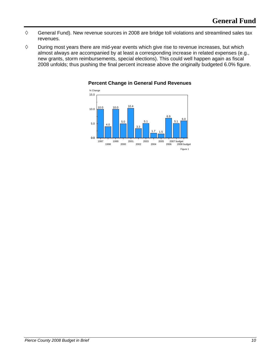- $\diamond$  General Fund). New revenue sources in 2008 are bridge toll violations and streamlined sales tax revenues.
- $\diamond$  During most years there are mid-year events which give rise to revenue increases, but which almost always are accompanied by at least a corresponding increase in related expenses (e.g., new grants, storm reimbursements, special elections). This could well happen again as fiscal 2008 unfolds; thus pushing the final percent increase above the originally budgeted 6.0% figure.



**Percent Change in General Fund Revenues**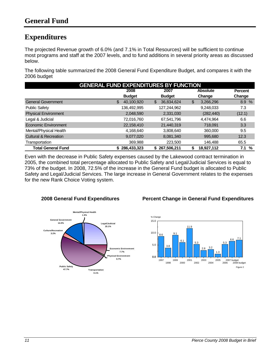## **Expenditures**

The projected Revenue growth of 6.0% (and 7.1% in Total Resources) will be sufficient to continue most programs and staff at the 2007 levels, and to fund additions in several priority areas as discussed below.

The following table summarized the 2008 General Fund Expenditure Budget, and compares it with the 2006 budget

| <b>GENERAL FUND EXPENDITURES BY FUNCTION</b> |              |               |    |               |                 |                |          |
|----------------------------------------------|--------------|---------------|----|---------------|-----------------|----------------|----------|
|                                              | 2008<br>2007 |               |    |               | <b>Absolute</b> | <b>Percent</b> |          |
|                                              |              | <b>Budget</b> |    | <b>Budget</b> |                 | Change         | Change   |
| <b>General Government</b>                    | \$           | 40,100,920    | \$ | 36,834,624    | \$              | 3,266,296      | 8.9 %    |
| <b>Public Safety</b>                         |              | 136,492,995   |    | 127,244,962   |                 | 9,248,033      | 7.3      |
| <b>Physical Environment</b>                  |              | 2,048,590     |    | 2,331,030     |                 | (282, 440)     | (12.1)   |
| Legal & Judicial                             |              | 72,016,760    |    | 67,541,796    |                 | 4,474,964      | 6.6      |
| Economic Environment                         |              | 22,158,410    |    | 21,440,319    |                 | 718,091        | 3.3      |
| Mental/Physical Health                       |              | 4,168,640     |    | 3,808,640     |                 | 360,000        | 9.5      |
| <b>Cultural &amp; Recreation</b>             |              | 9,077,020     |    | 8,081,340     |                 | 995,680        | 12.3     |
| Transportation                               |              | 369,988       |    | 223,500       |                 | 146,488        | 65.5     |
| <b>Total General Fund</b>                    |              | 286.433.323   | S  | 267.506.211   | S               | 18.927.112     | %<br>7.1 |

Even with the decrease in Public Safety expenses caused by the Lakewood contract termination in 2005, the combined total percentage allocated to Public Safety and Legal/Judicial Services is equal to 73% of the budget. In 2008, 72.5% of the increase in the General Fund budget is allocated to Public Safety and Legal/Judicial Services. The large increase in General Government relates to the expenses for the new Rank Choice Voting system.



#### **2008 General Fund Expenditures Percent Change in General Fund Expenditures**

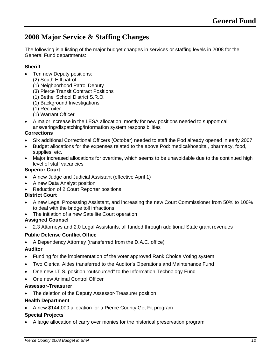## **2008 Major Service & Staffing Changes**

The following is a listing of the major budget changes in services or staffing levels in 2008 for the General Fund departments:

#### **Sheriff**

- Ten new Deputy positions:
	- (2) South Hill patrol
	- (1) Neighborhood Patrol Deputy
	- (3) Pierce Transit Contract Positions
	- (1) Bethel School District S.R.O.
	- (1) Background Investigations
	- (1) Recruiter
	- (1) Warrant Officer
- A major increase in the LESA allocation, mostly for new positions needed to support call answering/dispatching/information system responsibilities

#### **Corrections**

- Six additional Correctional Officers (October) needed to staff the Pod already opened in early 2007
- Budget allocations for the expenses related to the above Pod: medical/hospital, pharmacy, food, supplies, etc.
- Major increased allocations for overtime, which seems to be unavoidable due to the continued high level of staff vacancies

#### **Superior Court**

- A new Judge and Judicial Assistant (effective April 1)
- A new Data Analyst position
- Reduction of 2 Court Reporter positions

#### **District Court**

- A new Legal Processing Assistant, and increasing the new Court Commissioner from 50% to 100% to deal with the bridge toll infractions
- The initiation of a new Satellite Court operation

#### **Assigned Counsel**

• 2.3 Attorneys and 2.0 Legal Assistants, all funded through additional State grant revenues

#### **Public Defense Conflict Office**

• A Dependency Attorney (transferred from the D.A.C. office)

#### **Auditor**

- Funding for the implementation of the voter approved Rank Choice Voting system
- Two Clerical Aides transferred to the Auditor's Operations and Maintenance Fund
- One new I.T.S. position "outsourced" to the Information Technology Fund
- One new Animal Control Officer

#### **Assessor-Treasurer**

The deletion of the Deputy Assessor-Treasurer position

#### **Health Department**

• A new \$144,000 allocation for a Pierce County Get Fit program

#### **Special Projects**

• A large allocation of carry over monies for the historical preservation program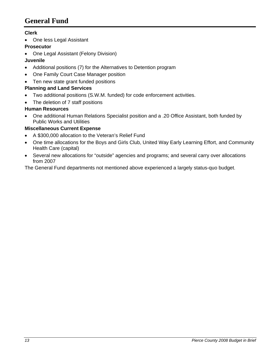## **General Fund**

#### **Clerk**

• One less Legal Assistant

#### **Prosecutor**

• One Legal Assistant (Felony Division)

## **Juvenile**

- Additional positions (7) for the Alternatives to Detention program
- One Family Court Case Manager position
- Ten new state grant funded positions

## **Planning and Land Services**

- Two additional positions (S.W.M. funded) for code enforcement activities.
- The deletion of 7 staff positions

#### **Human Resources**

• One additional Human Relations Specialist position and a .20 Office Assistant, both funded by Public Works and Utilities

#### **Miscellaneous Current Expense**

- A \$300,000 allocation to the Veteran's Relief Fund
- One time allocations for the Boys and Girls Club, United Way Early Learning Effort, and Community Health Care (capital)
- Several new allocations for "outside" agencies and programs; and several carry over allocations from 2007

The General Fund departments not mentioned above experienced a largely status-quo budget.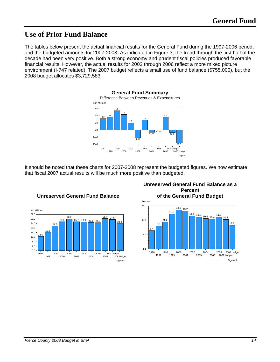## **Use of Prior Fund Balance**

The tables below present the actual financial results for the General Fund during the 1997-2006 period, and the budgeted amounts for 2007-2008. As indicated in Figure 3, the trend through the first half of the decade had been very positive. Both a strong economy and prudent fiscal policies produced favorable financial results. However, the actual results for 2002 through 2006 reflect a more mixed picture environment (I-747 related). The 2007 budget reflects a small use of fund balance (\$755,000), but the 2008 budget allocates \$3,729,583.



It should be noted that these charts for 2007-2008 represent the budgeted figures. We now estimate that fiscal 2007 actual results will be much more positive than budgeted.



#### **Unreserved General Fund Balance**

#### **Unreserved General Fund Balance as a Percent of the General Fund Budget**



# **General Fund Summary**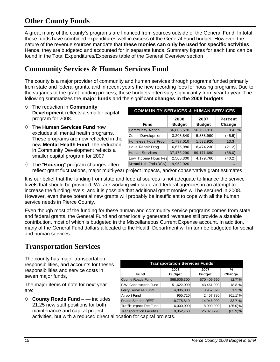## **Other County Funds**

A great many of the county's programs are financed from sources outside of the General Fund. In total, these funds have combined expenditures well in excess of the General Fund budget. However, the nature of the revenue sources mandate that **these monies can only be used for specific activities**. Hence, they are budgeted and accounted for in separate funds. Summary figures for each fund can be found in the Total Expenditures/Expenses table of the General Overview section

## **Community Services & Human Services Fund**

The county is a major provider of community and human services through programs funded primarily from state and federal grants, and in recent years the new recording fees for housing programs. Due to the vagaries of the grant funding process, these budgets often vary significantly from year to year. The following summarizes the **major funds** and the significant **changes in the 2008 budgets**:

- The reduction in **Community Development** reflects a smaller capital program for 2008.
- The **Human Services Fund** now excludes all mental health programs. These programs are now reflected in the new **Mental Health Fund** The reduction in Community Development reflects a smaller capital program for 2007.

| <b>COMMUNITY SERVICES &amp; HUMAN SERVICES</b> |                       |                       |                       |  |  |  |  |  |
|------------------------------------------------|-----------------------|-----------------------|-----------------------|--|--|--|--|--|
| <b>Fund</b>                                    | 2008<br><b>Budget</b> | 2007<br><b>Budget</b> | Percent<br>Change     |  |  |  |  |  |
| <b>Community Action</b>                        | \$6,805,570           | \$6,780,010           | $0.4^{\circ}$<br>$\%$ |  |  |  |  |  |
| Comm Development                               | 3,208,840             | 5,888,990             | (45.5)                |  |  |  |  |  |
| Homeless Hous Prog                             | 1,737,010             | 1,532,920             | 13.3                  |  |  |  |  |  |
| Hous Repair Prog                               | 6,676,980             | 8,474,230             | (21.2)                |  |  |  |  |  |
| <b>Human Services</b>                          | 37,473,290            | 89,171,690            | (58.0)                |  |  |  |  |  |
| Low Income Hous Fee                            | 2,500,300             | 4,179,760             | (40.2)                |  |  |  |  |  |
| Mental Hith Fnd (RSN)                          | 19.952.920            |                       | $\infty$              |  |  |  |  |  |

 The "**Housing**" program changes often reflect grant fluctuations, major multi-year project impacts, and/or conservative grant estimates.

It is our belief that the funding from state and federal sources is not adequate to finance the service levels that should be provided. We are working with state and federal agencies in an attempt to increase the funding levels, and it is possible that additional grant monies will be secured in 2008. However, even these potential new grants will probably be insufficient to cope with all the human service needs in Pierce County.

Even though most of the funding for these human and community service programs comes from state and federal grants, the General Fund and other locally generated revenues still provide a sizeable contribution, most of which is budgeted in the Miscellaneous Current Expense account. In addition, many of the General Fund dollars allocated to the Health Department will in turn be budgeted for social and human services.

## **Transportation Services**

The county has major transportation responsibilities, and accounts for theses responsibilities and service costs in seven major funds,

The major items of note for next year are:

**◯ County Roads Fund** – — includes 21.25 new staff positions for both maintenance and capital project

| <b>Transportation Services Funds</b> |               |               |            |  |  |  |  |  |
|--------------------------------------|---------------|---------------|------------|--|--|--|--|--|
|                                      | 2008<br>2007  |               |            |  |  |  |  |  |
| <b>Fund</b>                          | <b>Budget</b> | <b>Budget</b> | Change     |  |  |  |  |  |
| County Roads Fund                    | \$68,505,300  | \$70,409,560  | (2.7)%     |  |  |  |  |  |
| P.W. Construction Fund               | 51,622,000    | 43,461,000    | 18.8 %     |  |  |  |  |  |
| Ferry Services Fund                  | 4,006,880     | 3,957,020     | 1.3%       |  |  |  |  |  |
| Airport Fund                         | 955,720       | 2,457,780     | $(61.1)\%$ |  |  |  |  |  |
| <b>Roads Second REET</b>             | 18,775,810    | 14,046,090    | 33.7 %     |  |  |  |  |  |
| Traffic Impact Fee Fund              | 6,000,000     | 8,000,000     | $(25.0)\%$ |  |  |  |  |  |
| <b>Transportation Facilities</b>     | 9,352,760     | 25,873,790    | (63.9)%    |  |  |  |  |  |

activities, but with a reduced direct allocation for capital projects.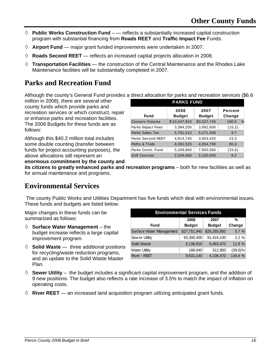- **Public Works Construction Fund** — reflects a substantially increased capital construction program with substantial financing from **Roads REET** and **Traffic Impact Fee** Funds.
- **Airport Fund**  major grant funded improvements were undertaken in 2007.
- $\Diamond$  **Roads Second REET** reflects an increased capital projects allocation in 2008.
- **Transportation Facilities**  the construction of the Central Maintenance and the Rhodes Lake Maintenance facilities will be substantially completed in 2007.

## **Parks and Recreation Fund**

Although the county's General Fund provides a direct allocation for parks and recreation services (\$6.6

million in 2008), there are several other county funds which provide parks and recreation services or which construct, repair or enhance parks and recreation facilities. The 2008 Budgets for these funds are as follows:

Although this \$40.2 million total includes some double counting (transfer between funds for project accounting purposes), the above allocations still represent an **enormous commitment by the county and** 

| <b>PARKS FUND</b>      |                       |                       |                        |  |  |  |  |  |  |
|------------------------|-----------------------|-----------------------|------------------------|--|--|--|--|--|--|
| Fund                   | 2008<br><b>Budget</b> | 2007<br><b>Budget</b> | Percent<br>Change      |  |  |  |  |  |  |
| <b>Conserv Futures</b> | \$10,247,910          | \$3,527,740           | 190.5<br>$\frac{0}{c}$ |  |  |  |  |  |  |
| Parks Impact Fees      | 3,384,200             | 3,992,600             | (15.2)                 |  |  |  |  |  |  |
| Parks Sales Tax        | 5,781,510             | 5,271,400             | 9.7                    |  |  |  |  |  |  |
| Parks Second REET      | 4,814,740             | 3,903,420             | 23.3                   |  |  |  |  |  |  |
| Paths & Trails         | 8,391,520             | 4,654,790             | 80.3                   |  |  |  |  |  |  |
| Parks Const. Fund      | 5,209,860             | 7,850,580             | (33.6)                 |  |  |  |  |  |  |
| <b>Golf Courses</b>    | 2,326,460             | 2,150,000             | 8.2                    |  |  |  |  |  |  |

**its citizens to greatly enhanced parks and recreation programs** – both for new facilities as well as for annual maintenance and programs.

## **Environmental Services**

 The county Public Works and Utilities Department has five funds which deal with environmental issues. These funds and budgets are listed below:

Major changes in these funds can be summarized as follows:

- **Surface Water Management** the budget increase reflects a large capital improvement program.
- $\Diamond$  **Solid Waste** three additional positions for recycling/waste reduction programs, and an update to the Solid Waste Master Plan.

| <b>Environmental Services Funds</b> |               |               |            |  |  |  |  |  |  |
|-------------------------------------|---------------|---------------|------------|--|--|--|--|--|--|
| 2008<br>2007<br>%                   |               |               |            |  |  |  |  |  |  |
| Fund                                | <b>Budget</b> | <b>Budget</b> | Change     |  |  |  |  |  |  |
| Surface Water Management            | \$27,751,940  | \$26,265,850  | 5.7 %      |  |  |  |  |  |  |
| Sew er Utility                      | 93,390,400    | 91,424,100    | 2.2%       |  |  |  |  |  |  |
| <b>Solid Waste</b>                  | 6,136,910     | 5,483,470     | 11.9 %     |  |  |  |  |  |  |
| <b>Water Utility</b>                | 188,940       | 312,900       | $(39.6)\%$ |  |  |  |  |  |  |
| River - REET                        | 9,631,140     | 4,108,470     | 134.4 %    |  |  |  |  |  |  |

- $\diamond$  **Sewer Utility** the budget includes a significant capital improvement program, and the addition of 9 new positions. The budget also reflects a rate increase of 3.5% to match the impact of inflation on operating costs.
- $\Diamond$  **River REET** an increased land acquisition program utilizing anticipated grant funds.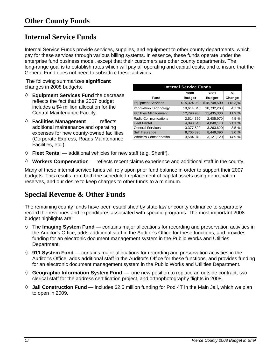## **Internal Service Funds**

Internal Service Funds provide services, supplies, and equipment to other county departments, which pay for these services through various billing systems. In essence, these funds operate under the enterprise fund business model, except that their customers are other county departments. The long-range goal is to establish rates which will pay all operating and capital costs, and to insure that the General Fund does not need to subsidize these activities.

 The following summarizes **significant** changes in 2008 budgets:

- **Equipment Services Fund** the decrease reflects the fact that the 2007 budget includes a \$4 million allocation for the Central Maintenance Facility.
- $\Diamond$  **Facilities Management** — reflects additional maintenance and operating expenses for new county-owned facilities (Corporate Express, Roads Maintenance Facilities, etc.).

| <b>Internal Service Funds</b> |               |               |            |  |  |  |  |  |
|-------------------------------|---------------|---------------|------------|--|--|--|--|--|
|                               | %             |               |            |  |  |  |  |  |
| <b>Fund</b>                   | <b>Budget</b> | <b>Budget</b> | Change     |  |  |  |  |  |
| <b>Equipment Services</b>     | \$15,324,050  | \$18,748,500  | $(18.3)\%$ |  |  |  |  |  |
| Information Technology        | 19,614,040    | 18,732,200    | 4.7 %      |  |  |  |  |  |
| <b>Facilities Management</b>  | 12,790,960    | 11,435,330    | 11.9%      |  |  |  |  |  |
| Radio Communications          | 2,514,360     | 2.405.970     | 4.5 %      |  |  |  |  |  |
| <b>Fleet Rental</b>           | 4,893,640     | 4.040.170     | 21.1 %     |  |  |  |  |  |
| <b>General Services</b>       | 3,377,520     | 3,263,620     | 3.5%       |  |  |  |  |  |
| Self Insurance                | 8,705,890     | 8,449,390     | 3.0%       |  |  |  |  |  |
| <b>Workers Compensation</b>   | 3,584,940     | 3,121,120     | 14.9 %     |  |  |  |  |  |

- $\Diamond$  **Fleet Rental** additional vehicles for new staff (e.g. Sheriff).
- $\Diamond$  **Workers Compensation** reflects recent claims experience and additional staff in the county.

Many of these internal service funds will rely upon prior fund balance in order to support their 2007 budgets. This results from both the scheduled replacement of capital assets using depreciation reserves, and our desire to keep charges to other funds to a minimum.

## **Special Revenue & Other Funds**

The remaining county funds have been established by state law or county ordinance to separately record the revenues and expenditures associated with specific programs. The most important 2008 budget highlights are:

- $\Diamond$  The **Imaging System Fund** contains major allocations for recording and preservation activities in the Auditor's Office, adds additional staff in the Auditor's Office for these functions, and provides funding for an electronic document management system in the Public Works and Utilities Department.
- $\diamond$  **911 System Fund** contains major allocations for recording and preservation activities in the Auditor's Office, adds additional staff in the Auditor's Office for these functions, and provides funding for an electronic document management system in the Public Works and Utilities Department.
- **Geographic Information System Fund**  one new position to replace an outside contract, two clerical staff for the address certification project, and orthophotography flights in 2008.
- $\diamond$  **Jail Construction Fund** includes \$2.5 million funding for Pod 4T in the Main Jail, which we plan to open in 2009.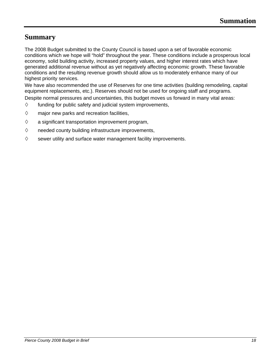## **Summary**

The 2008 Budget submitted to the County Council is based upon a set of favorable economic conditions which we hope will "hold" throughout the year. These conditions include a prosperous local economy, solid building activity, increased property values, and higher interest rates which have generated additional revenue without as yet negatively affecting economic growth. These favorable conditions and the resulting revenue growth should allow us to moderately enhance many of our highest priority services.

We have also recommended the use of Reserves for one time activities (building remodeling, capital equipment replacements, etc.). Reserves should not be used for ongoing staff and programs.

Despite normal pressures and uncertainties, this budget moves us forward in many vital areas:

- $\diamond$  funding for public safety and judicial system improvements,
- $\diamond$  major new parks and recreation facilities,
- $\diamond$  a significant transportation improvement program,
- $\diamond$  needed county building infrastructure improvements,
- $\diamond$  sewer utility and surface water management facility improvements.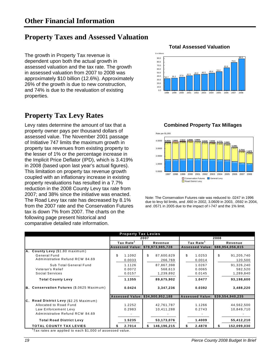## **Property Taxes and Assessed Valuation**

The growth in Property Tax revenue is dependent upon both the actual growth in assessed valuation and the tax rate. The growth in assessed valuation from 2007 to 2008 was approximately \$10 billion (12.6%). Approximately 26% of the growth is due to new construction, and 74% is due to the revaluation of existing properties.

## **Property Tax Levy Rates**

Levy rates determine the amount of tax that a **Combined Property Tax Millages**  property owner pays per thousand dollars of assessed value. The November 2001 passage of Initiative 747 limits the maximum growth in property tax revenues from existing property to the lesser of 1% or the percentage increase in the Implicit Price Deflator (IPD), which is 3.419% in 2008 (based upon last year's actual figures). This limitation on property tax revenue growth coupled with an inflationary increase in existing property revaluations has resulted in a 7.7% reduction in the 2008 County Levy tax rate from 2007; and 38% since the initiative was enacted. The Road Levy tax rate has decreased by 8.1% from the 2007 rate and the Conservation Futures tax is down 7% from 2007. The charts on the following page present historical and comparative detailed rate information.

#### $33.7$   $35.2$   $37.9$   $41.5$   $45.0$   $46.5$   $49.4$   $33.2$ 63.9 79.0 89.0 20.0 30.0 40.0 50.0 60.0 70.0 80.0 90.0 \$ in Billio

1998 1999 2000 2001 2002 2003 2004 2005 2006 2007 2008

0.0 10.0



Note: The Conservation Futures rate was reduced to .0247 in 1996 due to levy lid limits, and .660 in 2002, 3.0609 in 2003, .0592 in 2004, and .0571 in 2005 due to the impact of I-747 and the 1% limit.

| <b>Property Tax Levies</b>                               |    |                                  |      |             |                       |                                  |    |                  |
|----------------------------------------------------------|----|----------------------------------|------|-------------|-----------------------|----------------------------------|----|------------------|
|                                                          |    |                                  | 2007 |             |                       | 2008                             |    |                  |
|                                                          |    | Tax Rate <sup>1</sup>            |      | Revenue     | Tax Rate <sup>1</sup> |                                  |    | Revenue          |
|                                                          |    | Assessed Value: \$78,973,985,728 |      |             |                       | <b>Assessed Value:</b>           |    | \$88,954,056,815 |
| A. County Levy (\$1.80 maximum)                          |    |                                  |      |             |                       |                                  |    |                  |
| General Fund                                             | \$ | 1.1092                           | \$   | 87,600,629  | \$                    | 1.0253                           | \$ | 91,205,740       |
| Administrative Refund RCW 84.69                          |    | 0.0033                           |      | 266,769     |                       | 0.0014                           |    | 120,500          |
| Sub Total General Fund                                   |    | 1.1126                           |      | 87,867,398  |                       | 1.0267                           |    | 91,326,240       |
| Veteran's Relief                                         |    | 0.0072                           |      | 568,613     |                       | 0.0065                           |    | 582,520          |
| <b>Social Services</b>                                   |    | 0.0157                           |      | 1,239,892   |                       | 0.0145                           |    | 1,289,840        |
| <b>Total County Levy</b>                                 |    | 1.1355                           |      | 89,675,902  |                       | 1.0477                           |    | 93,198,600       |
| B. Conservation Futures (\$.0625 Maximum)                |    | 0.0424                           |      | 3,347,236   |                       | 0.0392                           |    | 3,488,220        |
|                                                          |    | Assessed Value: \$34,900,952,188 |      |             |                       | Assessed Value: \$39,554,940,235 |    |                  |
| C. Road District Levy (\$2.25 Maximum)                   |    |                                  |      |             |                       |                                  |    |                  |
| Allocated to Road Fund                                   |    | 1.2252                           |      | 42,761,787  |                       | 1.1266                           |    | 44,562,500       |
| Law Enforcement Levy                                     |    | 0.2983                           |      | 10,411,288  |                       | 0.2743                           |    | 10,849,710       |
| Administrative Refund RCW 84.69                          |    |                                  |      |             |                       |                                  |    |                  |
| <b>Total Road District Levy</b>                          |    | 1.5235                           |      | 53,173,076  |                       | 1.4009                           |    | 55,412,210       |
| <b>TOTAL COUNTY TAX LEVIES</b>                           |    | 2.7014                           |      | 146,196,215 | \$                    | 2.4878                           |    | 152,099,030      |
| Tax rates are applied to each \$1,000 of assessed value. |    |                                  |      |             |                       |                                  |    |                  |

**Total Assessed Valuation**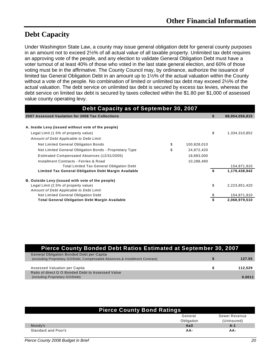## **Debt Capacity**

Under Washington State Law, a county may issue general obligation debt for general county purposes in an amount not to exceed 2½% of all actual value of all taxable property. Unlimited tax debt requires an approving vote of the people, and any election to validate General Obligation Debt must have a voter turnout of at least 40% of those who voted in the last state general election, and 60% of those voting must be in the affirmative. The County Council may, by ordinance, authorize the issuance of limited tax General Obligation Debt in an amount up to 1½% of the actual valuation within the County without a vote of the people. No combination of limited or unlimited tax debt may exceed 2½% of the actual valuation. The debt service on unlimited tax debt is secured by excess tax levies, whereas the debt service on limited tax debt is secured by taxes collected within the \$1.80 per \$1,000 of assessed value county operating levy.

| Debt Capacity as of September 30, 2007                      |                   |                     |
|-------------------------------------------------------------|-------------------|---------------------|
| 2007 Assessed Vaulation for 2008 Tax Collections            |                   | 88,954,056,815      |
|                                                             |                   |                     |
| A. Inside Levy (issued without vote of the people)          |                   |                     |
| Legal Limit (1.5% of property value)                        |                   | \$<br>1,334,310,852 |
| Amount of Debt Applicable to Debt Limit:                    |                   |                     |
| Net Limited General Obligation Bonds                        | \$<br>100,828,010 |                     |
| Net Limited General Obligation Bonds - Proprietary Type     | \$<br>24,872,420  |                     |
| Estimated Compensated Absences (12/31/2005)                 | 18,883,000        |                     |
| Installment Contracts - Ferries & Road                      | 10,288,480        |                     |
| <b>Total Limited Tax General Obligation Debt</b>            |                   | 154,871,910         |
| <b>Limited Tax General Obligation Debt Margin Available</b> |                   | \$<br>1,179,438,942 |
| B. Outside Levy (issued with vote of the people)            |                   |                     |
| Legal Limit (2.5% of property value)                        |                   | \$<br>2,223,851,420 |
| Amount of Debt Applicable to Debt Limit:                    |                   |                     |
| Net Limited General Obligation Debt                         |                   | 154,871,910         |
| <b>Total General Obligation Debt Margin Available</b>       |                   | 2,068,979,510       |

| <b>Pierce County Bonded Debt Ratios Estimated at September 30, 2007</b>       |         |
|-------------------------------------------------------------------------------|---------|
| <b>General Obligation Bonded Debt per Capita</b>                              |         |
| (excluding Proprietary GO/Debt, Compensated Absences, & Installment Contract) | 127.55  |
|                                                                               |         |
| Assessed Valuation per Capita                                                 | 112,529 |
| Ratio of direct G O Bonded Debt to Assessed Value                             |         |
| (including Proprietary GO/Debt)                                               | 0.0011  |

| <b>Pierce County Bond Ratings</b> |            |               |  |  |  |  |  |  |  |  |
|-----------------------------------|------------|---------------|--|--|--|--|--|--|--|--|
|                                   | General    | Sewer Revenue |  |  |  |  |  |  |  |  |
|                                   | Obligation | (Uninsured)   |  |  |  |  |  |  |  |  |
| Moody's                           | Aa3        | $A-1$         |  |  |  |  |  |  |  |  |
| <b>Standard and Poor's</b>        | AA-        | AA-           |  |  |  |  |  |  |  |  |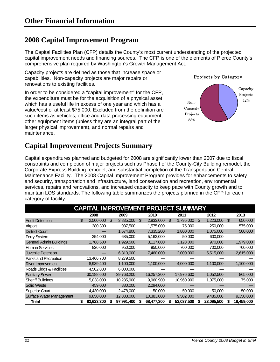## **2008 Capital Improvement Program**

The Capital Facilities Plan (CFP) details the County's most current understanding of the projected capital improvement needs and financing sources. The CFP is one of the elements of Pierce County's comprehensive plan required by Washington's Growth Management Act.

Capacity projects are defined as those that increase space or capabilities. Non-capacity projects are major repairs or renovations to existing facilities.

In order to be considered a "capital improvement" for the CFP, the expenditure must be for the acquisition of a physical asset which has a useful life in excess of one year and which has a value/cost of at least \$75,000. Excluded from the definition are such items as vehicles, office and data processing equipment, other equipment items (unless they are an integral part of the larger physical improvement), and normal repairs and maintenance.





## **Capital Improvement Projects Summary**

Capital expenditures planned and budgeted for 2008 are significantly lower than 2007 due to fiscal constraints and completion of major projects such as Phase I of the County-City Building remodel, the Corporate Express Building remodel, and substantial completion of the Transportation Central Maintenance Facility. The 2008 Capital Improvement Program provides for enhancements to safety and security, transportation and infrastructure, land conservation and recreation, environmental services, repairs and renovations, and increased capacity to keep pace with County growth and to maintain LOS standards. The following table summarizes the projects planned in the CFP for each category of facility.

| <b>CAPITAL IMPROVEMENT PROJECT SUMMARY</b> |    |            |    |            |     |            |    |            |    |            |    |            |  |
|--------------------------------------------|----|------------|----|------------|-----|------------|----|------------|----|------------|----|------------|--|
|                                            |    | 2008       |    | 2009       |     | 2010       |    | 2011       |    | 2012       |    | 2013       |  |
| <b>Adult Detention</b>                     | \$ | 2,500,000  | \$ | 3,835,000  | \$. | 2,833,000  | \$ | 1,795,000  | \$ | 1,223,000  | \$ | 650,000    |  |
| Airport                                    |    | 380,300    |    | 987,500    |     | 1,575,000  |    | 75,000     |    | 250,000    |    | 575,000    |  |
| <b>District Court</b>                      |    |            |    | 1,674,800  |     | 7,335,200  |    | 1,800,000  |    | 1,075,000  |    | 500,000    |  |
| Ferry System                               |    | 254,000    |    | 685,000    |     | 5,162,000  |    | 50,000     |    | 600,000    |    |            |  |
| <b>General Admin Buildings</b>             |    | 1,788,500  |    | 1,929,500  |     | 3,117,000  |    | 3,128,000  |    | 970,000    |    | 1,979,000  |  |
| <b>Human Services</b>                      |    | 826,000    |    | 950,000    |     | 950,000    |    | 700,000    |    | 700,000    |    | 700,000    |  |
| Juvenile Detention                         |    |            |    | 6,310,000  |     | 7,460,000  |    | 2,000,000  |    | 5,515,000  |    | 2,615,000  |  |
| Parks and Recreation                       |    | 13,466,700 |    | 8,279,500  |     |            |    |            |    |            |    |            |  |
| River Improvement                          |    | 8,939,400  |    | 1,100,000  |     | 1,100,000  |    | 4,000,000  |    | 1,100,000  |    | 1,100,000  |  |
| Roads Bldgs & Facilities                   |    | 4,502,800  |    | 6,000,000  |     |            |    |            |    |            |    |            |  |
| <b>Sanitary Sewer</b>                      |    | 30,188,600 |    | 39,763,200 |     | 16,257,200 |    | 17,976,600 |    | 1,052,500  |    | 865,000    |  |
| <b>Sheriff Buildings</b>                   |    | 5,038,000  |    | 10,285,900 |     | 9,960,900  |    | 10,960,900 |    | 1,075,000  |    | 75,000     |  |
| <b>Solid Waste</b>                         |    | 459,000    |    | 880,000    |     | 2,294,000  |    |            |    |            |    |            |  |
| <b>Superior Court</b>                      |    | 4,430,000  |    | 2,478,000  |     | 50,000     |    | 50,000     |    | 50,000     |    | 50,000     |  |
| Surface Water Management                   |    | 9,850,000  |    | 12,833,000 |     | 10,383,000 |    | 9,502,000  |    | 9,485,000  |    | 9,350,000  |  |
| <b>Total</b>                               | \$ | 82,623,300 |    | 97,991,400 |     | 68,477,300 |    | 52,037,500 |    | 23,095,500 |    | 18,459,000 |  |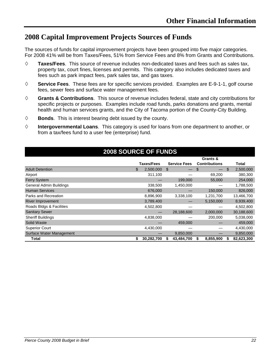## **2008 Capital Improvement Projects Sources of Funds**

The sources of funds for capital improvement projects have been grouped into five major categories. For 2008 41% will be from Taxes/Fees, 51% from Service Fees and 8% from Grants and Contributions.

- **Taxes/Fees**. This source of revenue includes non-dedicated taxes and fees such as sales tax, property tax, court fines, licenses and permits. This category also includes dedicated taxes and fees such as park impact fees, park sales tax, and gas taxes.
- **Service Fees**. These fees are for specific services provided. Examples are E-9-1-1, golf course fees, sewer fees and surface water management fees.
- **Grants & Contributions**. This source of revenue includes federal, state and city contributions for specific projects or purposes. Examples include road funds, parks donations and grants, mental health and human services grants, and the City of Tacoma portion of the County-City Building.
- $\diamond$  **Bonds**. This is interest bearing debt issued by the county.
- **Intergovernmental Loans**. This category is used for loans from one department to another, or from a tax/fees fund to a user fee (enterprise) fund.

| <b>2008 SOURCE OF FUNDS</b> |    |                   |                     |                               |    |            |  |  |  |  |  |  |
|-----------------------------|----|-------------------|---------------------|-------------------------------|----|------------|--|--|--|--|--|--|
|                             |    |                   |                     | Grants &                      |    |            |  |  |  |  |  |  |
|                             |    | <b>Taxes/Fees</b> | <b>Service Fees</b> | <b>Contributions</b>          |    | Total      |  |  |  |  |  |  |
| <b>Adult Detention</b>      | \$ | 2,500,000         | \$.                 | S<br>$\overline{\phantom{0}}$ | \$ | 2,500,000  |  |  |  |  |  |  |
| Airport                     |    | 311,100           |                     | 69,200                        |    | 380,300    |  |  |  |  |  |  |
| <b>Ferry System</b>         |    |                   | 199,000             | 55,000                        |    | 254,000    |  |  |  |  |  |  |
| General Admin Buildings     |    | 338,500           | 1,450,000           |                               |    | 1,788,500  |  |  |  |  |  |  |
| <b>Human Services</b>       |    | 676,000           |                     | 150,000                       |    | 826,000    |  |  |  |  |  |  |
| Parks and Recreation        |    | 8,896,900         | 3,338,100           | 1,231,700                     |    | 13,466,700 |  |  |  |  |  |  |
| River Improvement           |    | 3,789,400         |                     | 5,150,000                     |    | 8,939,400  |  |  |  |  |  |  |
| Roads Bldgs & Facilities    |    | 4,502,800         |                     |                               |    | 4,502,800  |  |  |  |  |  |  |
| <b>Sanitary Sewer</b>       |    |                   | 28,188,600          | 2,000,000                     |    | 30,188,600 |  |  |  |  |  |  |
| <b>Sheriff Buildings</b>    |    | 4,838,000         |                     | 200,000                       |    | 5,038,000  |  |  |  |  |  |  |
| Solid Waste                 |    |                   | 459,000             |                               |    | 459,000    |  |  |  |  |  |  |
| <b>Superior Court</b>       |    | 4,430,000         |                     |                               |    | 4,430,000  |  |  |  |  |  |  |
| Surface Water Management    |    |                   | 9,850,000           |                               |    | 9,850,000  |  |  |  |  |  |  |
| Total                       | \$ | 30,282,700        | 43,484,700          | 8,855,900<br>S                |    | 82,623,300 |  |  |  |  |  |  |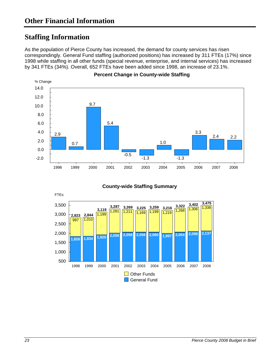## **Staffing Information**

As the population of Pierce County has increased, the demand for county services has risen correspondingly. General Fund staffing (authorized positions) has increased by 311 FTEs (17%) since 1998 while staffing in all other funds (special revenue, enterprise, and internal services) has increased by 341 FTEs (34%). Overall, 652 FTEs have been added since 1998, an increase of 23.1%.



**County-wide Staffing Summary** 

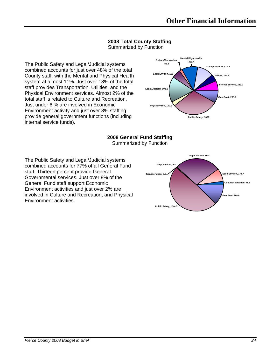#### **2008 Total County Staffing**

Summarized by Function

The Public Safety and Legal/Judicial systems combined accounts for just over 48% of the total County staff, with the Mental and Physical Health system at almost 11%. Just over 18% of the total staff provides Transportation, Utilities, and the Physical Environment services. Almost 2% of the total staff is related to Culture and Recreation. Just under 6 % are involved in Economic Environment activity and just over 8% staffing provide general government functions (including internal service funds).



## **2008 General Fund Staffing**

Summarized by Function

The Public Safety and Legal/Judicial systems combined accounts for 77% of all General Fund staff. Thirteen percent provide General Governmental services. Just over 8% of the General Fund staff support Economic Environment activities and just over 2% are involved in Culture and Recreation, and Physical Environment activities.

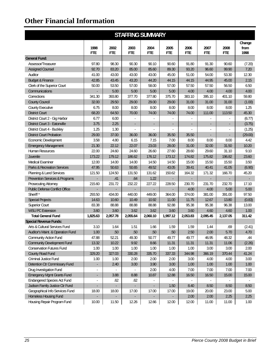| <b>STAFFING SUMMARY</b>                |                          |            |            |                          |               |            |            |            |         |  |  |  |  |
|----------------------------------------|--------------------------|------------|------------|--------------------------|---------------|------------|------------|------------|---------|--|--|--|--|
|                                        |                          |            |            |                          |               |            |            |            | Change  |  |  |  |  |
|                                        | 1998                     | 2002       | 2003       | 2004                     | 2005          | 2006       | 2007       | 2008       | from    |  |  |  |  |
|                                        | <b>FTE</b>               | <b>FTE</b> | <b>FTE</b> | <b>FTE</b>               | <b>FTE</b>    | <b>FTE</b> | <b>FTE</b> | <b>FTE</b> | 1998    |  |  |  |  |
| <b>General Fund:</b>                   |                          |            |            |                          |               |            |            |            |         |  |  |  |  |
| Assessor/Treasurer                     | 97.80                    | 98.30      | 90.30      | 90.10                    | 90.60         | 91.80      | 91.30      | 90.60      | (7.20)  |  |  |  |  |
| <b>Assigned Counsel</b>                | 92.70                    | 83.20      | 85.00      | 85.60                    | 89.30         | 93.20      | 96.60      | 99.90      | 7.20    |  |  |  |  |
| Auditor                                | 41.00                    | 43.00      | 43.00      | 43.00                    | 45.00         | 51.00      | 54.00      | 53.30      | 12.30   |  |  |  |  |
| <b>Budget &amp; Finance</b>            | 42.85                    | 43.45      | 43.20      | 44.20                    | 44.15         | 44.15      | 44.95      | 45.00      | 2.15    |  |  |  |  |
| Clerk of the Superior Court            | 50.00                    | 53.50      | 57.00      | 58.00                    | 57.00         | 57.50      | 57.50      | 56.50      | 6.50    |  |  |  |  |
| Communications                         |                          | 5.00       | 5.00       | 5.00                     | 5.00          | 4.00       | 4.00       | 4.00       | 4.00    |  |  |  |  |
| Corrections                            | 341.30                   | 393.80     | 377.70     | 377.80                   | 375.70        | 383.10     | 395.10     | 401.10     | 59.80   |  |  |  |  |
| <b>County Council</b>                  | 32.00                    | 29.50      | 29.00      | 29.00                    | 29.00         | 31.00      | 31.00      | 31.00      | (1.00)  |  |  |  |  |
| <b>County Executive</b>                | 6.75                     | 8.00       | 8.00       | 8.00                     | 8.00          | 8.00       | 8.00       | 8.00       | 1.25    |  |  |  |  |
| <b>District Court</b>                  | 68.20                    | 64.50      | 70.00      | 74.00                    | 74.00         | 74.00      | 111.00     | 113.50     | 45.30   |  |  |  |  |
| District Court 2 - Gig Harbor          | 6.77                     | 6.00       |            |                          |               |            |            |            | (6.77)  |  |  |  |  |
| District Court 3 - Eatonville          | 3.75                     | 2.25       |            |                          |               |            |            |            | (3.75)  |  |  |  |  |
| District Court 4 - Buckley             | 1.25                     | 1.30       |            |                          |               |            |            |            | (1.25)  |  |  |  |  |
| <b>District Court Probation</b>        | 29.00                    | 37.00      | 36.00      | 36.00                    | 35.50         | 35.50      |            |            | (29.00) |  |  |  |  |
| Economic Development                   | 3.58                     | 4.80       | 6.15       | 7.15                     | 7.00          | 8.00       | 8.00       | 8.00       | 4.42    |  |  |  |  |
| <b>Emergency Management</b>            | 21.30                    | 22.12      | 22.07      | 23.03                    | 28.00         | 31.00      | 32.00      | 31.50      | 10.20   |  |  |  |  |
| <b>Human Resources</b>                 | 22.00                    | 24.60      | 24.60      | 26.60                    | 27.60         | 28.60      | 29.60      | 31.10      | 9.10    |  |  |  |  |
| <b>Juvenile</b>                        | 173.22                   | 179.12     | 186.62     | 176.12                   | 173.12        | 174.82     | 175.82     | 196.82     | 23.60   |  |  |  |  |
| Medical Examiner                       | 12.00                    | 14.00      | 14.00      | 14.50                    | 14.50         | 15.00      | 15.50      | 15.50      | 3.50    |  |  |  |  |
| <b>Parks &amp; Recreation Services</b> | 47.95                    | 50.63      | 50.65      | 49.52                    | 43.05         | 39.41      | 40.41      | 41.05      | (6.90)  |  |  |  |  |
| Planning & Land Services               | 121.50                   | 124.50     | 131.50     | 131.62                   | 150.62        | 164.32     | 171.32     | 166.70     | 45.20   |  |  |  |  |
| Prevention Services & Programs         |                          | .41        | .64        | 1.22                     |               |            |            |            |         |  |  |  |  |
| Prosecuting Attorney                   | 215.60                   | 231.72     | 232.22     | 227.22                   | 228.50        | 230.70     | 231.70     | 232.70     | 17.10   |  |  |  |  |
| <b>Public Defense Conflict Office</b>  |                          |            |            |                          |               | 4.00       | 4.00       | 5.00       | 5.00    |  |  |  |  |
| Sheriff <sup>*</sup>                   | 293.50                   | 434.00     | 440.00     | 449.00                   | 364.00        | 374.00     | 381.00     | 391.00     | 97.50   |  |  |  |  |
| <b>Special Projects</b>                | 14.63                    | 10.60      | 10.49      | 10.92                    | 11.00         | 11.75      | 12.67      | 13.80      | (0.83)  |  |  |  |  |
| <b>Superior Court</b>                  | 83.38                    | 88.88      | 88.88      | 88.88                    | 92.88         | 95.38      | 95.38      | 96.38      | 13.00   |  |  |  |  |
| <b>WSU PC Extension</b>                | 3.60                     | 3.60       | 3.62       | 3.62                     | 3.60          | 3.60       | 4.60       | 4.60       | 1.00    |  |  |  |  |
| <b>Total General Fund</b>              | 1,825.63                 | 2.057.78   | 2,055.64   | 2,060.10                 | 1,997.12      | 2,053.83   | 2,095.45   | 2,137.05   | 311.42  |  |  |  |  |
| <b>Special Revenue Funds:</b>          |                          |            |            |                          |               |            |            |            |         |  |  |  |  |
| Arts & Cultural Services Fund          | 3.10                     | 1.64       | 1.51       | 1.66                     | 1.59          | 1.59       | 1.44       | .69        | (2.41)  |  |  |  |  |
| Auditor's Maint. & Operation Fund      | 1.00                     | .50        | .50        | .50                      | .50           | 2.50       | 2.00       | 5.70       | 4.70    |  |  |  |  |
| <b>Community Action Fund</b>           | 47.88                    | 52.21      | 49.30      | 50.77                    | 49.77         | 49.77      | 46.95      | 48.32      | .44     |  |  |  |  |
| <b>Community Development Fund</b>      | 13.32                    | 10.22      | 9.92       | 8.66                     | 11.31         | 11.31      | 11.31      | 11.06      | (2.26)  |  |  |  |  |
| <b>Conservation Futures Fund</b>       | 1.00                     | 1.00       | 1.00       | 1.00                     | 1.00          | 1.00       | 3.00       | 3.00       | 2.00    |  |  |  |  |
| County Road Fund                       | 329.20                   | 327.03     | 330.28     | 335.70                   | 337.33        | 344.98     | 366.19     | 370.44     | 41.24   |  |  |  |  |
| Criminal Justice Fund                  | 1.00                     | 1.00       | 2.00       | 2.00                     | 2.00          | 3.00       | 4.00       | 4.00       | 3.00    |  |  |  |  |
| Detention Ctr Commissary Fund          |                          | 2.40       | 3.00       | 3.90                     | 3.00          | 1.00       | 1.00       | 1.00       | 1.00    |  |  |  |  |
| Drug Investigation Fund                | $\overline{\phantom{a}}$ |            |            | 2.00                     | 4.00          | 7.00       | 7.00       | 7.00       | 7.00    |  |  |  |  |
| <b>Emergency Mgmt Grants Fund</b>      | $\blacksquare$           | 3.88       | 8.88       | 10.87                    | 12.88         | 16.50      | 16.50      | 15.00      | 15.00   |  |  |  |  |
| <b>Endangered Species Act Fund</b>     | $\overline{\phantom{a}}$ | .62        | .62        | $\overline{\phantom{a}}$ |               |            |            |            |         |  |  |  |  |
| Judson Family Justice Ctr Fund         |                          |            |            | $\blacksquare$           | 1.50          | 8.40       | 8.50       | 8.50       | 8.50    |  |  |  |  |
| Geographical Info Services Fund        | 18.00                    | 18.00      | 17.00      | 17.00                    | 17.00         | 19.00      | 20.00      | 23.00      | 5.00    |  |  |  |  |
| <b>Homeless Housing Fund</b>           |                          |            |            | ۰                        | $\frac{1}{2}$ | 2.00       | 2.00       | 2.25       | 2.25    |  |  |  |  |
| Housing Repair Program Fund            | 10.00                    | 11.50      | 12.26      | 12.66                    | 12.00         | 12.00      | 11.00      | 11.00      | 1.00    |  |  |  |  |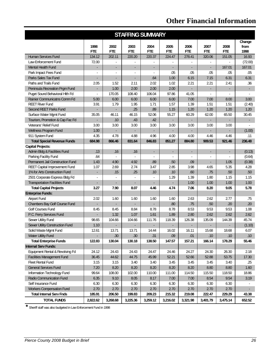| <b>STAFFING SUMMARY</b>               |                    |                    |                    |                    |                    |                    |                          |                    |                        |  |  |  |
|---------------------------------------|--------------------|--------------------|--------------------|--------------------|--------------------|--------------------|--------------------------|--------------------|------------------------|--|--|--|
|                                       | 1998<br><b>FTE</b> | 2002<br><b>FTE</b> | 2003<br><b>FTE</b> | 2004<br><b>FTE</b> | 2005<br><b>FTE</b> | 2006<br><b>FTE</b> | 2007<br><b>FTE</b>       | 2008<br><b>FTE</b> | Change<br>from<br>1998 |  |  |  |
| <b>Human Services Fund</b>            | 134.12             | 202.11             | 220.20             | 220.37             | 224.47             | 278.41             | 320.06                   | 151.05             | 16.93                  |  |  |  |
| Law Enforcement Fund                  | 72.00              | $\blacksquare$     |                    |                    |                    | $\blacksquare$     | $\blacksquare$           | ۰                  | (72.00)                |  |  |  |
| Mental Health Fund                    | $\blacksquare$     | $\sim$             | ÷.                 | $\sim$             | $\sim$             | $\sim$             | $\blacksquare$           | 167.01             | 167.01                 |  |  |  |
| Park Impact Fees Fund                 |                    |                    |                    |                    | .05                | .05                | .05                      | .05                | .05                    |  |  |  |
| Parks Sales Tax Fund                  |                    |                    |                    | .64                | 1.00               | 6.15               | 7.15                     | 6.31               | 6.31                   |  |  |  |
| Paths and Trails Fund                 | 2.05               | 1.52               | 2.11               | 2.02               | 1.02               | 2.21               | 2.21                     | 2.41               | .36                    |  |  |  |
| Peninsula Recreation Prgm Fund        | $\blacksquare$     | 1.00               | 2.00               | 2.00               | 2.00               |                    |                          |                    | $\blacksquare$         |  |  |  |
| Puget Sound Behavioral Hith Fd        |                    | 170.05             | 108.40             | 106.04             | 97.86              | 41.05              |                          |                    |                        |  |  |  |
| Rainier Communicatns Comm Fd          | 5.00               | 6.00               | 6.00               | 6.00               | 6.00               | 7.00               | 7.00                     | 8.00               | 3.00                   |  |  |  |
| <b>REET River Fund</b>                | 3.91               | 1.79               | 1.95               | 1.71               | 1.57               | 1.39               | 1.51                     | 1.51               | (2.40)                 |  |  |  |
| Second REET Parks Fund                | ÷,                 |                    | .25                | .89                | 1.15               | 1.20               | 1.20                     | 1.20               | 1.20                   |  |  |  |
| Surface Water Mgmt Fund               | 35.05              | 46.11              | 46.15              | 52.06              | 55.27              | 60.29              | 62.00                    | 65.50              | 30.45                  |  |  |  |
| Tourism, Promotion & Cap Fac Fd       |                    | .10                | .43                | .42                | $\blacksquare$     |                    |                          |                    |                        |  |  |  |
| Veterans' Relief Fund                 | 3.00               | 3.00               | 3.00               | 3.00               | 3.00               | 3.00               | 3.00                     | 3.00               |                        |  |  |  |
| <b>Wellness Program Fund</b>          | 1.00               |                    |                    |                    |                    |                    |                          |                    | (1.00)                 |  |  |  |
| 911 System Fund                       | 4.35               | 4.78               | 4.88               | 4.96               | 4.00               | 4.00               | 4.46                     | 4.46               | .11                    |  |  |  |
| <b>Total Special Revenue Funds</b>    | 684.98             | 866.46             | 831.64             | 846.83             | 851.27             | 884.80             | 909.53                   | 921.46             | 236.48                 |  |  |  |
| <b>Capital Projects:</b>              |                    |                    |                    |                    |                    |                    |                          |                    |                        |  |  |  |
| Admin Bldg & Facilities Fund          | .13                | .16                | .16                | $\blacksquare$     | $\sim$             | $\sim$             | $\blacksquare$           | ÷,                 | (0.13)                 |  |  |  |
| Parking Facility Fund                 | .64                | $\blacksquare$     |                    | $\overline{a}$     | $\sim$             | $\overline{a}$     | $\overline{a}$           | ä,                 | (0.64)                 |  |  |  |
| Permanent Jail Construction Fund      | 1.43               | 4.90               | 4.92               | .89                | .50                | .09                | $\overline{\phantom{a}}$ | 1.05               | (0.38)                 |  |  |  |
| <b>REET Capital Improvement Fund</b>  | 1.07               | 2.69               | 2.74               | 3.47               | 2.85               | 3.98               | 4.65                     | 5.35               | 4.28                   |  |  |  |
| 1% for Arts Construction Fund         | $\blacksquare$     | .15                | .25                | .10                | .10                | .60                | .75                      | .50                | .50                    |  |  |  |
| 2501 Corporate Express Bldg Fd        | ä,                 | $\blacksquare$     |                    |                    | 1.29               | 1.39               | 1.80                     | 1.15               | 1.15                   |  |  |  |
| <b>Transportation Facilities Fund</b> | ٠                  |                    |                    | $\sim$             | $\sim$             | 1.00               | 1.00                     | 1.00               | 1.00                   |  |  |  |
| <b>Total Capital Projects</b>         | 3.27               | 7.90               | 8.07               | 4.46               | 4.74               | 7.06               | 8.20                     | 9.05               | 5.78                   |  |  |  |
| <b>Enterprise Funds:</b>              |                    |                    |                    |                    |                    |                    |                          |                    |                        |  |  |  |
| <b>Airport Fund</b>                   | 2.02               | 1.60               | 1.60               | 1.60               | 1.60               | 2.63               | 2.62                     | 2.77               | .75                    |  |  |  |
| Chambers Bay Golf Course Fund         | ÷,                 |                    |                    |                    | .80                | .75                | .50                      | .20                | .20                    |  |  |  |
| <b>Golf Courses Fund</b>              | 8.45               | 8.45               | 8.84               | 8.78               | 8.78               | 8.53               | 9.53                     | 9.53               | 1.08                   |  |  |  |
| P.C. Ferry Services Fund              | ÷,                 | 1.32               | 1.07               | 1.61               | 1.89               | 2.80               | 2.62                     | 2.62               | 2.62                   |  |  |  |
| Sewer Utility Fund                    | 98.65              | 104.66             | 104.66             | 111.76             | 118.39             | 126.38             | 135.09                   | 144.39             | 45.74                  |  |  |  |
| Sewer Utility Construction Fund       | 1.10               |                    |                    | -                  | ٠                  | ÷                  | $\blacksquare$           |                    | (1.10)                 |  |  |  |
| Solid Waste Mgmt Fund                 | 12.61              | 13.71              | 13.71              | 14.44              | 16.02              | 16.11              | 15.68                    | 18.68              | 6.07                   |  |  |  |
| <b>Water Utility Fund</b>             | $\blacksquare$     | .30                | .30                | .31                | .09                | .01                | .10                      | .10                | .10                    |  |  |  |
| <b>Total Enterprise Funds</b>         | 122.83             | 130.04             | 130.18             | 138.50             | 147.57             | 157.21             | 166.14                   | 178.29             | 55.46                  |  |  |  |
| <b>Internal Serv Funds:</b>           |                    |                    |                    |                    |                    |                    |                          |                    |                        |  |  |  |
| Equipment Rental & Revolving Fd       | 24.12              | 24.43              | 24.43              | 24.47              | 24.46              | 24.27              | 24.30                    | 26.30              | 2.18                   |  |  |  |
| <b>Facilities Management Fund</b>     | 36.45              | 44.62              | 44.75              | 45.99              | 52.21              | 52.66              | 52.88                    | 53.75              | 17.30                  |  |  |  |
|                                       |                    |                    |                    |                    |                    |                    |                          |                    |                        |  |  |  |
| <b>Fleet Rental Fund</b>              | 3.15               | 3.15               | 3.40               | 3.40               | 3.45               | 3.45               | 3.45                     | 3.40               | .25                    |  |  |  |
| <b>General Services Fund</b>          | 7.20               | 8.20               | 8.20               | 8.20               | 8.20               | 8.20               | 8.80                     | 8.80               | 1.60                   |  |  |  |
| Information Technology Fund           | 99.64              | 108.00             | 102.00             | 110.00             | 111.00             | 114.50             | 115.50                   | 118.50             | 18.86                  |  |  |  |
| Radio Communication Fund              | 6.35               | 9.10               | 8.05               | 8.17               | 7.00               | 7.00               | 8.54                     | 9.54               | 3.19                   |  |  |  |
| Self Insurance Fund                   | 6.30               | 6.30               | 6.30               | 6.30               | 6.30               | 6.30               | 6.30                     | 6.30               |                        |  |  |  |
| <b>Workers Compensation Fund</b>      | 2.70               | 2.70               | 2.70               | 2.70               | 2.70               | 2.70               | 2.70                     | 2.70               |                        |  |  |  |
| <b>Total Internal Serv Fnds</b>       | 185.91             | 206.50             | 199.83             | 209.23             | 215.32             | 219.08             | 222.47                   | 229.29             | 43.38                  |  |  |  |
| <b>TOTAL FUNDS</b>                    | 2,822.62           | 3,268.68           | 3,225.36           | 3,259.12           | 3,216.02           | 3,321.98           | 3,401.79                 | 3,475.14           | 652.52                 |  |  |  |

**\*** Sheriff staff was also budgeted in Law Enforcement Fund in 1998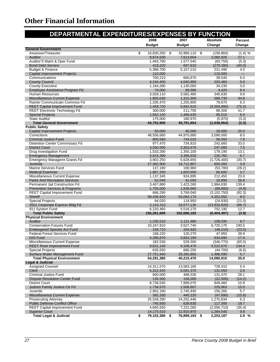| DEPARTMENTAL EXPENDITURES/EXPENSES BY FUNCTION                      |                          |                          |                         |                   |  |  |
|---------------------------------------------------------------------|--------------------------|--------------------------|-------------------------|-------------------|--|--|
|                                                                     | 2008<br>2007             |                          |                         |                   |  |  |
|                                                                     | <b>Budget</b>            | <b>Budget</b>            | Change                  | Percent<br>Change |  |  |
| <b>General Government</b>                                           |                          |                          |                         |                   |  |  |
| \$<br>Assessor/Treasurer                                            | 10,830,250               | -\$<br>10,989,110 \$     | (158, 860)              | (1.4) %           |  |  |
| Auditor                                                             | 9,674,530                | 7,613,604                | 2,060,926               | 27.1<br>(5.3)     |  |  |
| Auditor'S Maint & Oper Fund<br><b>Bond Debt Service</b>             | 1,493,790<br>418,220     | 1,577,540<br>697,610     | (83,750)<br>(279, 390)  | (40.0)            |  |  |
| Budget & Finance                                                    | 5,388,700                | 5,157,210                | 231,490                 | 4.5               |  |  |
| Capital Improvement Projects                                        | 110,000                  |                          | 110,000                 | $\equiv$          |  |  |
| Communications                                                      | 700,210                  | 660,670                  | 39,540                  | 6.0               |  |  |
| <b>County Council</b>                                               | 4,244,450                | 4,040,990                | 203,460                 | 5.0               |  |  |
| <b>County Executive</b>                                             | 1,164,280                | 1,130,050                | 34,230                  | 3.0               |  |  |
| Employee Assistance Program Fd                                      | 74,000                   | 69,580                   | 4,420                   | 6.4               |  |  |
| <b>Human Resources</b>                                              | 3,928,110                | 3,582,480                | 345,630                 | 9.6               |  |  |
| <b>Miscellaneous Current Expense</b>                                | 1,905,030                | 1,315,300                | 589,730                 | 44.8              |  |  |
| Rainier Communicatn Commiss Fd                                      | 1,335,470                | 1,255,800                | 79,670                  | 6.3               |  |  |
| <b>REET Capital Improvement Fund</b>                                | 1,448,720                | 5,842,610                | (4,393,890)             | (75.2)            |  |  |
| <b>REET Electronic Technology Fd</b><br><b>Special Projects</b>     | 300,000<br>1,562,140     | 211,700<br>1,466,630     | 88,300<br>95,510        | 41.7<br>6.5       |  |  |
| <b>State Auditor</b>                                                | 175,000                  | 180,970                  | (5,970)                 | (3.3)             |  |  |
| <b>Total General Government</b>                                     | 44,752,900               | 45,791,854               | (1,038,954)             | (2.3)             |  |  |
| <b>Public Safety</b>                                                |                          |                          |                         |                   |  |  |
| <b>Capital Improvement Projects</b>                                 | 50,000                   | 40,000                   | 10,000                  | 25.0              |  |  |
| Corrections                                                         | 48,556,680               | 44,970,680               | 3,586,000               | 8.0               |  |  |
| <b>Criminal Justice Fund</b>                                        | 800,560                  | 744,010                  | 56,550                  | 7.6               |  |  |
| Detention Center Commissary Fd                                      | 977,470                  | 734,810                  | 242,660                 | 33.0              |  |  |
| <b>District Court</b>                                               | 3,550,550                | 3,303,470                | 247,080                 | 7.5               |  |  |
| Drug Investigation Fund                                             | 1,533,290                | 1,355,100                | 178,190                 | 13.1              |  |  |
| <b>Emergency Management</b>                                         | 3,615,390                | 3,388,630                | 226,760                 | 6.7               |  |  |
| <b>Emergency Managemt Grants Fd</b><br>Juvenile                     | 3,902,250<br>17,362,900  | 5,628,650<br>16,712,807  | (1,726,400)<br>650,093  | (30.7)<br>3.9     |  |  |
| Marine Services Fund                                                | 137,180                  | 190,960                  | (53,780)                | (28.2)            |  |  |
| <b>Medical Examiner</b>                                             | 1,887,250                | 1,820,650                | 66,600                  | 3.7               |  |  |
| Miscellaneous Current Expense                                       | 1,137,345                | 924,895                  | 212,450                 | 23.0              |  |  |
| <b>Parks And Recreation Services</b>                                | 52,040                   | 41,050                   | 10,990                  | 26.8              |  |  |
| Permanent Jail Construction Fd                                      | 3,407,890                | 1,423,260                | 1,984,630               | 139.4             |  |  |
| Prevention Services & Programs                                      | 1,750,000                | 1,839,660                | (89,660)                | (4.9)             |  |  |
| <b>REET Capital Improvement Fund</b>                                | 666,290                  | 3,769,040                | (3, 102, 750)           | (82.3)            |  |  |
| Sheriff                                                             | 58,436,820               | 54,084,170               | 4,352,650               | 8.0               |  |  |
| <b>Special Projects</b>                                             | 94,020                   | 118,950                  | (24, 930)               | (21.0)            |  |  |
| 2501 Corporate Express Bldg Fd                                      | 2,143,310                | 16,077,130               | (13,933,820)            | (86.7)            |  |  |
| 911 System Fund<br><b>Total Public Safety</b>                       | 6,220,460                | 5,518,270                | 702,190<br>(6,404,497)  | 12.7<br>(3.9)     |  |  |
| <b>Physical Environment</b>                                         | 156,281,695              | 162,686,192              |                         |                   |  |  |
| Auditor                                                             | 1,230,510                | 1,121,480                | 109,030                 | 9.7               |  |  |
| <b>Conservation Futures Fund</b>                                    | 10,247,910               | 3,527,740                | 6,720,170               | 190.5             |  |  |
| <b>Endangered Species Act Fund</b>                                  | 156,710                  | 204,920                  | (48, 210)               | (23.5)            |  |  |
| <b>Federal Forest Services Fund</b>                                 | 168,220                  | 120,270                  | 47,950                  | 39.9              |  |  |
| <b>GIS Fund</b>                                                     | 4,286,870                | 3,652,190                | 634,680                 | 17.4              |  |  |
| <b>Miscellaneous Current Expense</b>                                | 182,530                  | 529,300                  | (346, 770)              | (65.5)            |  |  |
| <b>REET River Improvement Fund</b>                                  | 9,631,140                | 4,108,470                | 5,522,670               | 134.4             |  |  |
| <b>Special Projects</b><br>Surface Water Management Fund            | 635,550                  | 680,250                  | (44, 700)               | (6.6)             |  |  |
| <b>Total Physical Environment</b>                                   | 27,751,940<br>54,291,380 | 26,265,850<br>40,210,470 | 1,486,090<br>14,080,910 | 5.7<br>35.0       |  |  |
| <b>Legal &amp; Judicial</b>                                         |                          |                          |                         |                   |  |  |
| <b>Assigned Counsel</b>                                             | 14,311,570               | 13,583,160               | 728,410                 | 5.4               |  |  |
| <b>Clerk</b>                                                        | 5,222,420                | 5,091,370                | 131,050                 | 2.6               |  |  |
| <b>Criminal Justice Fund</b>                                        | 600,000                  | 468,530                  | 131,470                 | 28.1              |  |  |
| <b>Dispute Resolution Center Fund</b>                               | 135,500                  | 158,000                  | (22,500)                | (14.2)            |  |  |
| <b>District Court</b>                                               | 8,738,530                | 7,889,070                | 849,460                 | 10.8              |  |  |
| Judson Family Justice Ctr Fd                                        | 1,734,570                | 1,508,607                | 225,963                 | 15.0              |  |  |
| Juvenile                                                            | 2,902,190                | 2,745,930                | 156,260                 | 5.7               |  |  |
| <b>Miscellaneous Current Expense</b><br><b>Prosecuting Attorney</b> | 392,330                  | 440,220                  | (47, 890)               | (10.9)            |  |  |
| <b>Public Defense Conflict Office</b>                               | 25,528,280<br>745,930    | 24,252,446<br>628,630    | 1,275,834<br>117,300    | 5.3<br>18.7       |  |  |
| <b>REET Capital Improvement Fund</b>                                | 4,665,550                | 7,222,260                | (2,556,710)             | (35.4)            |  |  |
| <b>Superior Court</b>                                               | 14,175,510               | 12,910,970               | 1,264,540               | 9.8               |  |  |
| <b>Total Legal &amp; Judicial</b><br>\$                             | 79,152,380 \$            | 76,899,193 \$            | 2,253,187               | 2.9%              |  |  |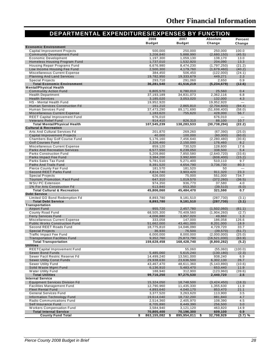| 2008<br>2007<br>Absolute<br>Percent<br><b>Budget</b><br><b>Budget</b><br>Change<br>Change<br><b>Economic Environment</b><br>100.0<br>Capital Improvement Projects<br>500,000<br>250,000<br>250,000<br><b>Community Development Fund</b><br>(45.5)<br>3,208,840<br>5,888,990<br>(2,680,150)<br>Economic Development<br>1,197,300<br>13.0<br>1,059,130<br>138,170<br>Homeless Housing Program Fund<br>204,090<br>13.3<br>1,737,010<br>1,532,920<br>Housing Repair Programs Fund<br>(21.2)<br>6,676,980<br>(1,797,250)<br>8,474,230<br>Low Income Housing Fee Fund<br>2,500,300<br>4,179,760<br>(1,679,460)<br>(40.2)<br><b>Miscellaneous Current Expense</b><br>(24.1)<br>384,450<br>506,450<br>(122,000)<br><b>Planning And Land Services</b><br>19,782,950<br>449,271<br>2.3<br>19,333,679<br><b>Special Projects</b><br>293,710<br>0.9<br>291,060<br>2,650<br><b>Total Economic Environment</b><br>36,281,540<br>41,516,219<br>(5, 234, 679)<br>(12.6)<br><b>Mental/Physical Health</b><br><b>Community Action Fund</b><br>25,560<br>0.4<br>6,805,570<br>6,780,010<br><b>Health Department</b><br>6.8<br>37,193,189<br>34,831,073<br>2,362,116<br><b>Health Services</b><br>3,053,020<br>132,000<br>4.3<br>3,185,020<br>HS - Mental Health Fund<br>19,952,920<br>19,952,920<br>$\overline{\phantom{m}}$<br>(94.4)<br>Human Services Construction Fd<br>2,865,810<br>(2,704,600)<br>161,210<br>Human Services Fund<br>37,473,290<br>89,171,690<br>(51, 698, 400)<br>(58.0)<br>Miscellaneous Current Expense<br>1,183,620<br>755,620<br>56.7<br>428,000<br><b>REET Capital Improvement Fund</b><br>676,010<br>676,010<br>10.7<br><b>Veterans Relief Fund</b><br>88,100<br>914,410<br>826,310<br>Total Mental/Physical Health<br>(22.2)<br>107,545,239<br>138,283,533<br>(30, 738, 294)<br><b>Cultural &amp; Recreation</b><br>Arts And Cultural Services Fd<br>(67, 390)<br>(25.0)<br>201,870<br>269.260<br><b>Capital Improvement Projects</b><br>40,000<br>100,000<br>(60,000)<br>(60.0)<br><b>Chambers Bay Golf Course Fund</b><br>5,176,160<br>7,456,640<br>(2, 280, 480)<br>(30.6)<br><b>Golf Courses Fund</b><br>2,326,460<br>2,150,000<br>176,460<br>8.2<br>17.6<br>Miscellaneous Current Expense<br>128,600<br>859,120<br>730,520<br><b>Parks And Recreation Services</b><br>5.4<br>6,577,550<br>6,239,050<br>338,500<br><b>Parks Construction Fund</b><br>(33.6)<br>5,209,860<br>7,850,580<br>(2,640,720)<br>Parks Impact Fee Fund<br>(15.2)<br>3,384,200<br>3,992,600<br>(608, 400)<br>Parks Sales Tax Fund<br>510,110<br>9.7<br>5,781,510<br>5,271,400<br>80.3<br>Paths And Trails Fund<br>8,391,520<br>4,654,790<br>3,736,730<br><b>Pierce County Fair Fund</b><br>181,570<br>181,520<br>50<br>Second REET Parks Fund<br>23.3<br>4,814,740<br>3,903,420<br>911,320<br><b>Special Projects</b><br>734.7<br>626,000<br>75,000<br>551,000<br>Tourism, Promotion, Facil Fund<br>(372, 260)<br>(36.5)<br>647,310<br>1,019,570<br><b>WSU PC Extension</b><br>974,350<br>936,770<br>37,580<br>4.0<br>1% For Arts Construction Fd<br>613,840<br>(6.0)<br>653,350<br>(39, 510)<br><b>Total Cultural &amp; Recreation</b><br>45,484,470<br>45,806,060<br>321,590<br>0.7<br><b>Debt Service</b><br>Limited GO Bond Redemption Fd<br>(3.1)<br>8,893,780<br>9,181,510<br>(287, 730)<br><b>Total Debt Service</b><br>8,893,780<br>9,181,510<br>(287, 730)<br>(3.1)<br>Transportation<br><b>Airport Fund</b><br>(1,502,060)<br>(61.1)<br>955,720<br>2,457,780<br>County Road Fund<br>68,505,300<br>(1,904,260)<br>70,409,560<br>(2.7)<br><b>Ferry Services Fund</b><br>1.3<br>4,006,880<br>3,957,020<br>49,860<br>Miscellaneous Current Expense<br>126.6<br>333,058<br>147,000<br>186,058<br><b>Public Works Construction Fund</b><br>18.9<br>51,662,000<br>43,461,000<br>8,201,000<br>33.7<br>Second REET Roads Fund<br>18,775,810<br>4,729,720<br>14,046,090<br>(51.7)<br><b>Special Projects</b><br>36,930<br>76,500<br>(39, 570)<br>(25.0)<br>Traffic Impact Fee Fund<br>6.000.000<br>8.000.000<br>(2,000,000)<br><b>Transportation Facilities Fund</b><br>9,352,760<br>25,873,790<br>(16, 521, 030)<br>(63.9)<br><b>Total Transportation</b><br>159,628,458<br>(5.2)<br>168,428,740<br>(8,800,282)<br><b>Utilities</b><br><b>REETCapital Improvement Fund</b><br>(100.0)<br>55,060<br>(55,060)<br><b>Sewer Bond Funds</b><br>5,485,060<br>5,615,240<br>(130, 180)<br>(2.3)<br>Sewer Facil Restric Reserve Fd<br>14,499,240<br>13,561,000<br>938,240<br>6.9<br><b>Sewer Utility Const Funds</b><br>26.7<br>29,938,630<br>23,636,500<br>6,302,130<br><b>Sewer Utility Fund</b><br>43,467,470<br>48,611,360<br>(5, 143, 890)<br>(10.6)<br>Solid Waste Mgmt Fund<br>11.9<br>6,136,910<br>5,483,470<br>653,440<br><b>Water Utility Fund</b><br>188,940<br>312,900<br>(39.6)<br>(123, 960)<br><b>Total Utilities</b><br>99,716,250<br>97,275,530<br>2,440,720<br>$2.5\,$<br><b>Internal Service</b><br><b>Equipment Services Division Fd</b><br>15,324,050<br>18,748,500<br>(3,424,450)<br>(18.3)<br><b>Facilities Management Fund</b><br>12,790,960<br>11,435,330<br>1,355,630<br>11.9<br><b>Fleet Rental Fund</b><br>4,893,640<br>4,040,170<br>853,470<br>21.1<br><b>General Services Fund</b><br>3.5<br>3,377,520<br>3,263,620<br>113,900<br>Information Technology Fund<br>18,732,200<br>4.7<br>19,614,040<br>881,840<br>Radio Communications Fund<br>2,514,360<br>2,405,970<br>108,390<br>4.5<br>Self Insurance Fund<br>3.0<br>8,705,890<br>8,449,390<br>256,500<br><b>Workers Compensation Fund</b><br>14.9<br>3,584,940<br>463,820<br>3,121,120<br><b>Total Internal Service</b><br>0.9<br>70,805,400<br>70,196,300<br>609,100<br><b>County Fund Total</b><br>863,155,082 \$<br>895,954,011 \$<br>32,798,929<br>$(3.7)$ %<br>\$ | DEPARTMENTAL EXPENDITURES/EXPENSES BY FUNCTION |  |  |  |  |  |  |  |  |  |  |  |
|-----------------------------------------------------------------------------------------------------------------------------------------------------------------------------------------------------------------------------------------------------------------------------------------------------------------------------------------------------------------------------------------------------------------------------------------------------------------------------------------------------------------------------------------------------------------------------------------------------------------------------------------------------------------------------------------------------------------------------------------------------------------------------------------------------------------------------------------------------------------------------------------------------------------------------------------------------------------------------------------------------------------------------------------------------------------------------------------------------------------------------------------------------------------------------------------------------------------------------------------------------------------------------------------------------------------------------------------------------------------------------------------------------------------------------------------------------------------------------------------------------------------------------------------------------------------------------------------------------------------------------------------------------------------------------------------------------------------------------------------------------------------------------------------------------------------------------------------------------------------------------------------------------------------------------------------------------------------------------------------------------------------------------------------------------------------------------------------------------------------------------------------------------------------------------------------------------------------------------------------------------------------------------------------------------------------------------------------------------------------------------------------------------------------------------------------------------------------------------------------------------------------------------------------------------------------------------------------------------------------------------------------------------------------------------------------------------------------------------------------------------------------------------------------------------------------------------------------------------------------------------------------------------------------------------------------------------------------------------------------------------------------------------------------------------------------------------------------------------------------------------------------------------------------------------------------------------------------------------------------------------------------------------------------------------------------------------------------------------------------------------------------------------------------------------------------------------------------------------------------------------------------------------------------------------------------------------------------------------------------------------------------------------------------------------------------------------------------------------------------------------------------------------------------------------------------------------------------------------------------------------------------------------------------------------------------------------------------------------------------------------------------------------------------------------------------------------------------------------------------------------------------------------------------------------------------------------------------------------------------------------------------------------------------------------------------------------------------------------------------------------------------------------------------------------------------------------------------------------------------------------------------------------------------------------------------------------------------------------------------------------------------------------------------------------------------------------------------------------------------------------------------------------------------------------------------------------------------------------------------------------------------------------------------------------------------------------------------------------------------------------------------------------------------------------------------------------------------------------------------------------------------------------------------------------------------------------------------------------------------------------------------------------------------------------------------------------------------------------------------------------------------------------------------------------------------------------------------------------------------------------------------------------------------------------------------------------------------------------------------------------------------------------------------------------------------------------------------------------------|------------------------------------------------|--|--|--|--|--|--|--|--|--|--|--|
|                                                                                                                                                                                                                                                                                                                                                                                                                                                                                                                                                                                                                                                                                                                                                                                                                                                                                                                                                                                                                                                                                                                                                                                                                                                                                                                                                                                                                                                                                                                                                                                                                                                                                                                                                                                                                                                                                                                                                                                                                                                                                                                                                                                                                                                                                                                                                                                                                                                                                                                                                                                                                                                                                                                                                                                                                                                                                                                                                                                                                                                                                                                                                                                                                                                                                                                                                                                                                                                                                                                                                                                                                                                                                                                                                                                                                                                                                                                                                                                                                                                                                                                                                                                                                                                                                                                                                                                                                                                                                                                                                                                                                                                                                                                                                                                                                                                                                                                                                                                                                                                                                                                                                                                                                                                                                                                                                                                                                                                                                                                                                                                                                                                                                                                                   |                                                |  |  |  |  |  |  |  |  |  |  |  |
|                                                                                                                                                                                                                                                                                                                                                                                                                                                                                                                                                                                                                                                                                                                                                                                                                                                                                                                                                                                                                                                                                                                                                                                                                                                                                                                                                                                                                                                                                                                                                                                                                                                                                                                                                                                                                                                                                                                                                                                                                                                                                                                                                                                                                                                                                                                                                                                                                                                                                                                                                                                                                                                                                                                                                                                                                                                                                                                                                                                                                                                                                                                                                                                                                                                                                                                                                                                                                                                                                                                                                                                                                                                                                                                                                                                                                                                                                                                                                                                                                                                                                                                                                                                                                                                                                                                                                                                                                                                                                                                                                                                                                                                                                                                                                                                                                                                                                                                                                                                                                                                                                                                                                                                                                                                                                                                                                                                                                                                                                                                                                                                                                                                                                                                                   |                                                |  |  |  |  |  |  |  |  |  |  |  |
|                                                                                                                                                                                                                                                                                                                                                                                                                                                                                                                                                                                                                                                                                                                                                                                                                                                                                                                                                                                                                                                                                                                                                                                                                                                                                                                                                                                                                                                                                                                                                                                                                                                                                                                                                                                                                                                                                                                                                                                                                                                                                                                                                                                                                                                                                                                                                                                                                                                                                                                                                                                                                                                                                                                                                                                                                                                                                                                                                                                                                                                                                                                                                                                                                                                                                                                                                                                                                                                                                                                                                                                                                                                                                                                                                                                                                                                                                                                                                                                                                                                                                                                                                                                                                                                                                                                                                                                                                                                                                                                                                                                                                                                                                                                                                                                                                                                                                                                                                                                                                                                                                                                                                                                                                                                                                                                                                                                                                                                                                                                                                                                                                                                                                                                                   |                                                |  |  |  |  |  |  |  |  |  |  |  |
|                                                                                                                                                                                                                                                                                                                                                                                                                                                                                                                                                                                                                                                                                                                                                                                                                                                                                                                                                                                                                                                                                                                                                                                                                                                                                                                                                                                                                                                                                                                                                                                                                                                                                                                                                                                                                                                                                                                                                                                                                                                                                                                                                                                                                                                                                                                                                                                                                                                                                                                                                                                                                                                                                                                                                                                                                                                                                                                                                                                                                                                                                                                                                                                                                                                                                                                                                                                                                                                                                                                                                                                                                                                                                                                                                                                                                                                                                                                                                                                                                                                                                                                                                                                                                                                                                                                                                                                                                                                                                                                                                                                                                                                                                                                                                                                                                                                                                                                                                                                                                                                                                                                                                                                                                                                                                                                                                                                                                                                                                                                                                                                                                                                                                                                                   |                                                |  |  |  |  |  |  |  |  |  |  |  |
|                                                                                                                                                                                                                                                                                                                                                                                                                                                                                                                                                                                                                                                                                                                                                                                                                                                                                                                                                                                                                                                                                                                                                                                                                                                                                                                                                                                                                                                                                                                                                                                                                                                                                                                                                                                                                                                                                                                                                                                                                                                                                                                                                                                                                                                                                                                                                                                                                                                                                                                                                                                                                                                                                                                                                                                                                                                                                                                                                                                                                                                                                                                                                                                                                                                                                                                                                                                                                                                                                                                                                                                                                                                                                                                                                                                                                                                                                                                                                                                                                                                                                                                                                                                                                                                                                                                                                                                                                                                                                                                                                                                                                                                                                                                                                                                                                                                                                                                                                                                                                                                                                                                                                                                                                                                                                                                                                                                                                                                                                                                                                                                                                                                                                                                                   |                                                |  |  |  |  |  |  |  |  |  |  |  |
|                                                                                                                                                                                                                                                                                                                                                                                                                                                                                                                                                                                                                                                                                                                                                                                                                                                                                                                                                                                                                                                                                                                                                                                                                                                                                                                                                                                                                                                                                                                                                                                                                                                                                                                                                                                                                                                                                                                                                                                                                                                                                                                                                                                                                                                                                                                                                                                                                                                                                                                                                                                                                                                                                                                                                                                                                                                                                                                                                                                                                                                                                                                                                                                                                                                                                                                                                                                                                                                                                                                                                                                                                                                                                                                                                                                                                                                                                                                                                                                                                                                                                                                                                                                                                                                                                                                                                                                                                                                                                                                                                                                                                                                                                                                                                                                                                                                                                                                                                                                                                                                                                                                                                                                                                                                                                                                                                                                                                                                                                                                                                                                                                                                                                                                                   |                                                |  |  |  |  |  |  |  |  |  |  |  |
|                                                                                                                                                                                                                                                                                                                                                                                                                                                                                                                                                                                                                                                                                                                                                                                                                                                                                                                                                                                                                                                                                                                                                                                                                                                                                                                                                                                                                                                                                                                                                                                                                                                                                                                                                                                                                                                                                                                                                                                                                                                                                                                                                                                                                                                                                                                                                                                                                                                                                                                                                                                                                                                                                                                                                                                                                                                                                                                                                                                                                                                                                                                                                                                                                                                                                                                                                                                                                                                                                                                                                                                                                                                                                                                                                                                                                                                                                                                                                                                                                                                                                                                                                                                                                                                                                                                                                                                                                                                                                                                                                                                                                                                                                                                                                                                                                                                                                                                                                                                                                                                                                                                                                                                                                                                                                                                                                                                                                                                                                                                                                                                                                                                                                                                                   |                                                |  |  |  |  |  |  |  |  |  |  |  |
|                                                                                                                                                                                                                                                                                                                                                                                                                                                                                                                                                                                                                                                                                                                                                                                                                                                                                                                                                                                                                                                                                                                                                                                                                                                                                                                                                                                                                                                                                                                                                                                                                                                                                                                                                                                                                                                                                                                                                                                                                                                                                                                                                                                                                                                                                                                                                                                                                                                                                                                                                                                                                                                                                                                                                                                                                                                                                                                                                                                                                                                                                                                                                                                                                                                                                                                                                                                                                                                                                                                                                                                                                                                                                                                                                                                                                                                                                                                                                                                                                                                                                                                                                                                                                                                                                                                                                                                                                                                                                                                                                                                                                                                                                                                                                                                                                                                                                                                                                                                                                                                                                                                                                                                                                                                                                                                                                                                                                                                                                                                                                                                                                                                                                                                                   |                                                |  |  |  |  |  |  |  |  |  |  |  |
|                                                                                                                                                                                                                                                                                                                                                                                                                                                                                                                                                                                                                                                                                                                                                                                                                                                                                                                                                                                                                                                                                                                                                                                                                                                                                                                                                                                                                                                                                                                                                                                                                                                                                                                                                                                                                                                                                                                                                                                                                                                                                                                                                                                                                                                                                                                                                                                                                                                                                                                                                                                                                                                                                                                                                                                                                                                                                                                                                                                                                                                                                                                                                                                                                                                                                                                                                                                                                                                                                                                                                                                                                                                                                                                                                                                                                                                                                                                                                                                                                                                                                                                                                                                                                                                                                                                                                                                                                                                                                                                                                                                                                                                                                                                                                                                                                                                                                                                                                                                                                                                                                                                                                                                                                                                                                                                                                                                                                                                                                                                                                                                                                                                                                                                                   |                                                |  |  |  |  |  |  |  |  |  |  |  |
|                                                                                                                                                                                                                                                                                                                                                                                                                                                                                                                                                                                                                                                                                                                                                                                                                                                                                                                                                                                                                                                                                                                                                                                                                                                                                                                                                                                                                                                                                                                                                                                                                                                                                                                                                                                                                                                                                                                                                                                                                                                                                                                                                                                                                                                                                                                                                                                                                                                                                                                                                                                                                                                                                                                                                                                                                                                                                                                                                                                                                                                                                                                                                                                                                                                                                                                                                                                                                                                                                                                                                                                                                                                                                                                                                                                                                                                                                                                                                                                                                                                                                                                                                                                                                                                                                                                                                                                                                                                                                                                                                                                                                                                                                                                                                                                                                                                                                                                                                                                                                                                                                                                                                                                                                                                                                                                                                                                                                                                                                                                                                                                                                                                                                                                                   |                                                |  |  |  |  |  |  |  |  |  |  |  |
|                                                                                                                                                                                                                                                                                                                                                                                                                                                                                                                                                                                                                                                                                                                                                                                                                                                                                                                                                                                                                                                                                                                                                                                                                                                                                                                                                                                                                                                                                                                                                                                                                                                                                                                                                                                                                                                                                                                                                                                                                                                                                                                                                                                                                                                                                                                                                                                                                                                                                                                                                                                                                                                                                                                                                                                                                                                                                                                                                                                                                                                                                                                                                                                                                                                                                                                                                                                                                                                                                                                                                                                                                                                                                                                                                                                                                                                                                                                                                                                                                                                                                                                                                                                                                                                                                                                                                                                                                                                                                                                                                                                                                                                                                                                                                                                                                                                                                                                                                                                                                                                                                                                                                                                                                                                                                                                                                                                                                                                                                                                                                                                                                                                                                                                                   |                                                |  |  |  |  |  |  |  |  |  |  |  |
|                                                                                                                                                                                                                                                                                                                                                                                                                                                                                                                                                                                                                                                                                                                                                                                                                                                                                                                                                                                                                                                                                                                                                                                                                                                                                                                                                                                                                                                                                                                                                                                                                                                                                                                                                                                                                                                                                                                                                                                                                                                                                                                                                                                                                                                                                                                                                                                                                                                                                                                                                                                                                                                                                                                                                                                                                                                                                                                                                                                                                                                                                                                                                                                                                                                                                                                                                                                                                                                                                                                                                                                                                                                                                                                                                                                                                                                                                                                                                                                                                                                                                                                                                                                                                                                                                                                                                                                                                                                                                                                                                                                                                                                                                                                                                                                                                                                                                                                                                                                                                                                                                                                                                                                                                                                                                                                                                                                                                                                                                                                                                                                                                                                                                                                                   |                                                |  |  |  |  |  |  |  |  |  |  |  |
|                                                                                                                                                                                                                                                                                                                                                                                                                                                                                                                                                                                                                                                                                                                                                                                                                                                                                                                                                                                                                                                                                                                                                                                                                                                                                                                                                                                                                                                                                                                                                                                                                                                                                                                                                                                                                                                                                                                                                                                                                                                                                                                                                                                                                                                                                                                                                                                                                                                                                                                                                                                                                                                                                                                                                                                                                                                                                                                                                                                                                                                                                                                                                                                                                                                                                                                                                                                                                                                                                                                                                                                                                                                                                                                                                                                                                                                                                                                                                                                                                                                                                                                                                                                                                                                                                                                                                                                                                                                                                                                                                                                                                                                                                                                                                                                                                                                                                                                                                                                                                                                                                                                                                                                                                                                                                                                                                                                                                                                                                                                                                                                                                                                                                                                                   |                                                |  |  |  |  |  |  |  |  |  |  |  |
|                                                                                                                                                                                                                                                                                                                                                                                                                                                                                                                                                                                                                                                                                                                                                                                                                                                                                                                                                                                                                                                                                                                                                                                                                                                                                                                                                                                                                                                                                                                                                                                                                                                                                                                                                                                                                                                                                                                                                                                                                                                                                                                                                                                                                                                                                                                                                                                                                                                                                                                                                                                                                                                                                                                                                                                                                                                                                                                                                                                                                                                                                                                                                                                                                                                                                                                                                                                                                                                                                                                                                                                                                                                                                                                                                                                                                                                                                                                                                                                                                                                                                                                                                                                                                                                                                                                                                                                                                                                                                                                                                                                                                                                                                                                                                                                                                                                                                                                                                                                                                                                                                                                                                                                                                                                                                                                                                                                                                                                                                                                                                                                                                                                                                                                                   |                                                |  |  |  |  |  |  |  |  |  |  |  |
|                                                                                                                                                                                                                                                                                                                                                                                                                                                                                                                                                                                                                                                                                                                                                                                                                                                                                                                                                                                                                                                                                                                                                                                                                                                                                                                                                                                                                                                                                                                                                                                                                                                                                                                                                                                                                                                                                                                                                                                                                                                                                                                                                                                                                                                                                                                                                                                                                                                                                                                                                                                                                                                                                                                                                                                                                                                                                                                                                                                                                                                                                                                                                                                                                                                                                                                                                                                                                                                                                                                                                                                                                                                                                                                                                                                                                                                                                                                                                                                                                                                                                                                                                                                                                                                                                                                                                                                                                                                                                                                                                                                                                                                                                                                                                                                                                                                                                                                                                                                                                                                                                                                                                                                                                                                                                                                                                                                                                                                                                                                                                                                                                                                                                                                                   |                                                |  |  |  |  |  |  |  |  |  |  |  |
|                                                                                                                                                                                                                                                                                                                                                                                                                                                                                                                                                                                                                                                                                                                                                                                                                                                                                                                                                                                                                                                                                                                                                                                                                                                                                                                                                                                                                                                                                                                                                                                                                                                                                                                                                                                                                                                                                                                                                                                                                                                                                                                                                                                                                                                                                                                                                                                                                                                                                                                                                                                                                                                                                                                                                                                                                                                                                                                                                                                                                                                                                                                                                                                                                                                                                                                                                                                                                                                                                                                                                                                                                                                                                                                                                                                                                                                                                                                                                                                                                                                                                                                                                                                                                                                                                                                                                                                                                                                                                                                                                                                                                                                                                                                                                                                                                                                                                                                                                                                                                                                                                                                                                                                                                                                                                                                                                                                                                                                                                                                                                                                                                                                                                                                                   |                                                |  |  |  |  |  |  |  |  |  |  |  |
|                                                                                                                                                                                                                                                                                                                                                                                                                                                                                                                                                                                                                                                                                                                                                                                                                                                                                                                                                                                                                                                                                                                                                                                                                                                                                                                                                                                                                                                                                                                                                                                                                                                                                                                                                                                                                                                                                                                                                                                                                                                                                                                                                                                                                                                                                                                                                                                                                                                                                                                                                                                                                                                                                                                                                                                                                                                                                                                                                                                                                                                                                                                                                                                                                                                                                                                                                                                                                                                                                                                                                                                                                                                                                                                                                                                                                                                                                                                                                                                                                                                                                                                                                                                                                                                                                                                                                                                                                                                                                                                                                                                                                                                                                                                                                                                                                                                                                                                                                                                                                                                                                                                                                                                                                                                                                                                                                                                                                                                                                                                                                                                                                                                                                                                                   |                                                |  |  |  |  |  |  |  |  |  |  |  |
|                                                                                                                                                                                                                                                                                                                                                                                                                                                                                                                                                                                                                                                                                                                                                                                                                                                                                                                                                                                                                                                                                                                                                                                                                                                                                                                                                                                                                                                                                                                                                                                                                                                                                                                                                                                                                                                                                                                                                                                                                                                                                                                                                                                                                                                                                                                                                                                                                                                                                                                                                                                                                                                                                                                                                                                                                                                                                                                                                                                                                                                                                                                                                                                                                                                                                                                                                                                                                                                                                                                                                                                                                                                                                                                                                                                                                                                                                                                                                                                                                                                                                                                                                                                                                                                                                                                                                                                                                                                                                                                                                                                                                                                                                                                                                                                                                                                                                                                                                                                                                                                                                                                                                                                                                                                                                                                                                                                                                                                                                                                                                                                                                                                                                                                                   |                                                |  |  |  |  |  |  |  |  |  |  |  |
|                                                                                                                                                                                                                                                                                                                                                                                                                                                                                                                                                                                                                                                                                                                                                                                                                                                                                                                                                                                                                                                                                                                                                                                                                                                                                                                                                                                                                                                                                                                                                                                                                                                                                                                                                                                                                                                                                                                                                                                                                                                                                                                                                                                                                                                                                                                                                                                                                                                                                                                                                                                                                                                                                                                                                                                                                                                                                                                                                                                                                                                                                                                                                                                                                                                                                                                                                                                                                                                                                                                                                                                                                                                                                                                                                                                                                                                                                                                                                                                                                                                                                                                                                                                                                                                                                                                                                                                                                                                                                                                                                                                                                                                                                                                                                                                                                                                                                                                                                                                                                                                                                                                                                                                                                                                                                                                                                                                                                                                                                                                                                                                                                                                                                                                                   |                                                |  |  |  |  |  |  |  |  |  |  |  |
|                                                                                                                                                                                                                                                                                                                                                                                                                                                                                                                                                                                                                                                                                                                                                                                                                                                                                                                                                                                                                                                                                                                                                                                                                                                                                                                                                                                                                                                                                                                                                                                                                                                                                                                                                                                                                                                                                                                                                                                                                                                                                                                                                                                                                                                                                                                                                                                                                                                                                                                                                                                                                                                                                                                                                                                                                                                                                                                                                                                                                                                                                                                                                                                                                                                                                                                                                                                                                                                                                                                                                                                                                                                                                                                                                                                                                                                                                                                                                                                                                                                                                                                                                                                                                                                                                                                                                                                                                                                                                                                                                                                                                                                                                                                                                                                                                                                                                                                                                                                                                                                                                                                                                                                                                                                                                                                                                                                                                                                                                                                                                                                                                                                                                                                                   |                                                |  |  |  |  |  |  |  |  |  |  |  |
|                                                                                                                                                                                                                                                                                                                                                                                                                                                                                                                                                                                                                                                                                                                                                                                                                                                                                                                                                                                                                                                                                                                                                                                                                                                                                                                                                                                                                                                                                                                                                                                                                                                                                                                                                                                                                                                                                                                                                                                                                                                                                                                                                                                                                                                                                                                                                                                                                                                                                                                                                                                                                                                                                                                                                                                                                                                                                                                                                                                                                                                                                                                                                                                                                                                                                                                                                                                                                                                                                                                                                                                                                                                                                                                                                                                                                                                                                                                                                                                                                                                                                                                                                                                                                                                                                                                                                                                                                                                                                                                                                                                                                                                                                                                                                                                                                                                                                                                                                                                                                                                                                                                                                                                                                                                                                                                                                                                                                                                                                                                                                                                                                                                                                                                                   |                                                |  |  |  |  |  |  |  |  |  |  |  |
|                                                                                                                                                                                                                                                                                                                                                                                                                                                                                                                                                                                                                                                                                                                                                                                                                                                                                                                                                                                                                                                                                                                                                                                                                                                                                                                                                                                                                                                                                                                                                                                                                                                                                                                                                                                                                                                                                                                                                                                                                                                                                                                                                                                                                                                                                                                                                                                                                                                                                                                                                                                                                                                                                                                                                                                                                                                                                                                                                                                                                                                                                                                                                                                                                                                                                                                                                                                                                                                                                                                                                                                                                                                                                                                                                                                                                                                                                                                                                                                                                                                                                                                                                                                                                                                                                                                                                                                                                                                                                                                                                                                                                                                                                                                                                                                                                                                                                                                                                                                                                                                                                                                                                                                                                                                                                                                                                                                                                                                                                                                                                                                                                                                                                                                                   |                                                |  |  |  |  |  |  |  |  |  |  |  |
|                                                                                                                                                                                                                                                                                                                                                                                                                                                                                                                                                                                                                                                                                                                                                                                                                                                                                                                                                                                                                                                                                                                                                                                                                                                                                                                                                                                                                                                                                                                                                                                                                                                                                                                                                                                                                                                                                                                                                                                                                                                                                                                                                                                                                                                                                                                                                                                                                                                                                                                                                                                                                                                                                                                                                                                                                                                                                                                                                                                                                                                                                                                                                                                                                                                                                                                                                                                                                                                                                                                                                                                                                                                                                                                                                                                                                                                                                                                                                                                                                                                                                                                                                                                                                                                                                                                                                                                                                                                                                                                                                                                                                                                                                                                                                                                                                                                                                                                                                                                                                                                                                                                                                                                                                                                                                                                                                                                                                                                                                                                                                                                                                                                                                                                                   |                                                |  |  |  |  |  |  |  |  |  |  |  |
|                                                                                                                                                                                                                                                                                                                                                                                                                                                                                                                                                                                                                                                                                                                                                                                                                                                                                                                                                                                                                                                                                                                                                                                                                                                                                                                                                                                                                                                                                                                                                                                                                                                                                                                                                                                                                                                                                                                                                                                                                                                                                                                                                                                                                                                                                                                                                                                                                                                                                                                                                                                                                                                                                                                                                                                                                                                                                                                                                                                                                                                                                                                                                                                                                                                                                                                                                                                                                                                                                                                                                                                                                                                                                                                                                                                                                                                                                                                                                                                                                                                                                                                                                                                                                                                                                                                                                                                                                                                                                                                                                                                                                                                                                                                                                                                                                                                                                                                                                                                                                                                                                                                                                                                                                                                                                                                                                                                                                                                                                                                                                                                                                                                                                                                                   |                                                |  |  |  |  |  |  |  |  |  |  |  |
|                                                                                                                                                                                                                                                                                                                                                                                                                                                                                                                                                                                                                                                                                                                                                                                                                                                                                                                                                                                                                                                                                                                                                                                                                                                                                                                                                                                                                                                                                                                                                                                                                                                                                                                                                                                                                                                                                                                                                                                                                                                                                                                                                                                                                                                                                                                                                                                                                                                                                                                                                                                                                                                                                                                                                                                                                                                                                                                                                                                                                                                                                                                                                                                                                                                                                                                                                                                                                                                                                                                                                                                                                                                                                                                                                                                                                                                                                                                                                                                                                                                                                                                                                                                                                                                                                                                                                                                                                                                                                                                                                                                                                                                                                                                                                                                                                                                                                                                                                                                                                                                                                                                                                                                                                                                                                                                                                                                                                                                                                                                                                                                                                                                                                                                                   |                                                |  |  |  |  |  |  |  |  |  |  |  |
|                                                                                                                                                                                                                                                                                                                                                                                                                                                                                                                                                                                                                                                                                                                                                                                                                                                                                                                                                                                                                                                                                                                                                                                                                                                                                                                                                                                                                                                                                                                                                                                                                                                                                                                                                                                                                                                                                                                                                                                                                                                                                                                                                                                                                                                                                                                                                                                                                                                                                                                                                                                                                                                                                                                                                                                                                                                                                                                                                                                                                                                                                                                                                                                                                                                                                                                                                                                                                                                                                                                                                                                                                                                                                                                                                                                                                                                                                                                                                                                                                                                                                                                                                                                                                                                                                                                                                                                                                                                                                                                                                                                                                                                                                                                                                                                                                                                                                                                                                                                                                                                                                                                                                                                                                                                                                                                                                                                                                                                                                                                                                                                                                                                                                                                                   |                                                |  |  |  |  |  |  |  |  |  |  |  |
|                                                                                                                                                                                                                                                                                                                                                                                                                                                                                                                                                                                                                                                                                                                                                                                                                                                                                                                                                                                                                                                                                                                                                                                                                                                                                                                                                                                                                                                                                                                                                                                                                                                                                                                                                                                                                                                                                                                                                                                                                                                                                                                                                                                                                                                                                                                                                                                                                                                                                                                                                                                                                                                                                                                                                                                                                                                                                                                                                                                                                                                                                                                                                                                                                                                                                                                                                                                                                                                                                                                                                                                                                                                                                                                                                                                                                                                                                                                                                                                                                                                                                                                                                                                                                                                                                                                                                                                                                                                                                                                                                                                                                                                                                                                                                                                                                                                                                                                                                                                                                                                                                                                                                                                                                                                                                                                                                                                                                                                                                                                                                                                                                                                                                                                                   |                                                |  |  |  |  |  |  |  |  |  |  |  |
|                                                                                                                                                                                                                                                                                                                                                                                                                                                                                                                                                                                                                                                                                                                                                                                                                                                                                                                                                                                                                                                                                                                                                                                                                                                                                                                                                                                                                                                                                                                                                                                                                                                                                                                                                                                                                                                                                                                                                                                                                                                                                                                                                                                                                                                                                                                                                                                                                                                                                                                                                                                                                                                                                                                                                                                                                                                                                                                                                                                                                                                                                                                                                                                                                                                                                                                                                                                                                                                                                                                                                                                                                                                                                                                                                                                                                                                                                                                                                                                                                                                                                                                                                                                                                                                                                                                                                                                                                                                                                                                                                                                                                                                                                                                                                                                                                                                                                                                                                                                                                                                                                                                                                                                                                                                                                                                                                                                                                                                                                                                                                                                                                                                                                                                                   |                                                |  |  |  |  |  |  |  |  |  |  |  |
|                                                                                                                                                                                                                                                                                                                                                                                                                                                                                                                                                                                                                                                                                                                                                                                                                                                                                                                                                                                                                                                                                                                                                                                                                                                                                                                                                                                                                                                                                                                                                                                                                                                                                                                                                                                                                                                                                                                                                                                                                                                                                                                                                                                                                                                                                                                                                                                                                                                                                                                                                                                                                                                                                                                                                                                                                                                                                                                                                                                                                                                                                                                                                                                                                                                                                                                                                                                                                                                                                                                                                                                                                                                                                                                                                                                                                                                                                                                                                                                                                                                                                                                                                                                                                                                                                                                                                                                                                                                                                                                                                                                                                                                                                                                                                                                                                                                                                                                                                                                                                                                                                                                                                                                                                                                                                                                                                                                                                                                                                                                                                                                                                                                                                                                                   |                                                |  |  |  |  |  |  |  |  |  |  |  |
|                                                                                                                                                                                                                                                                                                                                                                                                                                                                                                                                                                                                                                                                                                                                                                                                                                                                                                                                                                                                                                                                                                                                                                                                                                                                                                                                                                                                                                                                                                                                                                                                                                                                                                                                                                                                                                                                                                                                                                                                                                                                                                                                                                                                                                                                                                                                                                                                                                                                                                                                                                                                                                                                                                                                                                                                                                                                                                                                                                                                                                                                                                                                                                                                                                                                                                                                                                                                                                                                                                                                                                                                                                                                                                                                                                                                                                                                                                                                                                                                                                                                                                                                                                                                                                                                                                                                                                                                                                                                                                                                                                                                                                                                                                                                                                                                                                                                                                                                                                                                                                                                                                                                                                                                                                                                                                                                                                                                                                                                                                                                                                                                                                                                                                                                   |                                                |  |  |  |  |  |  |  |  |  |  |  |
|                                                                                                                                                                                                                                                                                                                                                                                                                                                                                                                                                                                                                                                                                                                                                                                                                                                                                                                                                                                                                                                                                                                                                                                                                                                                                                                                                                                                                                                                                                                                                                                                                                                                                                                                                                                                                                                                                                                                                                                                                                                                                                                                                                                                                                                                                                                                                                                                                                                                                                                                                                                                                                                                                                                                                                                                                                                                                                                                                                                                                                                                                                                                                                                                                                                                                                                                                                                                                                                                                                                                                                                                                                                                                                                                                                                                                                                                                                                                                                                                                                                                                                                                                                                                                                                                                                                                                                                                                                                                                                                                                                                                                                                                                                                                                                                                                                                                                                                                                                                                                                                                                                                                                                                                                                                                                                                                                                                                                                                                                                                                                                                                                                                                                                                                   |                                                |  |  |  |  |  |  |  |  |  |  |  |
|                                                                                                                                                                                                                                                                                                                                                                                                                                                                                                                                                                                                                                                                                                                                                                                                                                                                                                                                                                                                                                                                                                                                                                                                                                                                                                                                                                                                                                                                                                                                                                                                                                                                                                                                                                                                                                                                                                                                                                                                                                                                                                                                                                                                                                                                                                                                                                                                                                                                                                                                                                                                                                                                                                                                                                                                                                                                                                                                                                                                                                                                                                                                                                                                                                                                                                                                                                                                                                                                                                                                                                                                                                                                                                                                                                                                                                                                                                                                                                                                                                                                                                                                                                                                                                                                                                                                                                                                                                                                                                                                                                                                                                                                                                                                                                                                                                                                                                                                                                                                                                                                                                                                                                                                                                                                                                                                                                                                                                                                                                                                                                                                                                                                                                                                   |                                                |  |  |  |  |  |  |  |  |  |  |  |
|                                                                                                                                                                                                                                                                                                                                                                                                                                                                                                                                                                                                                                                                                                                                                                                                                                                                                                                                                                                                                                                                                                                                                                                                                                                                                                                                                                                                                                                                                                                                                                                                                                                                                                                                                                                                                                                                                                                                                                                                                                                                                                                                                                                                                                                                                                                                                                                                                                                                                                                                                                                                                                                                                                                                                                                                                                                                                                                                                                                                                                                                                                                                                                                                                                                                                                                                                                                                                                                                                                                                                                                                                                                                                                                                                                                                                                                                                                                                                                                                                                                                                                                                                                                                                                                                                                                                                                                                                                                                                                                                                                                                                                                                                                                                                                                                                                                                                                                                                                                                                                                                                                                                                                                                                                                                                                                                                                                                                                                                                                                                                                                                                                                                                                                                   |                                                |  |  |  |  |  |  |  |  |  |  |  |
|                                                                                                                                                                                                                                                                                                                                                                                                                                                                                                                                                                                                                                                                                                                                                                                                                                                                                                                                                                                                                                                                                                                                                                                                                                                                                                                                                                                                                                                                                                                                                                                                                                                                                                                                                                                                                                                                                                                                                                                                                                                                                                                                                                                                                                                                                                                                                                                                                                                                                                                                                                                                                                                                                                                                                                                                                                                                                                                                                                                                                                                                                                                                                                                                                                                                                                                                                                                                                                                                                                                                                                                                                                                                                                                                                                                                                                                                                                                                                                                                                                                                                                                                                                                                                                                                                                                                                                                                                                                                                                                                                                                                                                                                                                                                                                                                                                                                                                                                                                                                                                                                                                                                                                                                                                                                                                                                                                                                                                                                                                                                                                                                                                                                                                                                   |                                                |  |  |  |  |  |  |  |  |  |  |  |
|                                                                                                                                                                                                                                                                                                                                                                                                                                                                                                                                                                                                                                                                                                                                                                                                                                                                                                                                                                                                                                                                                                                                                                                                                                                                                                                                                                                                                                                                                                                                                                                                                                                                                                                                                                                                                                                                                                                                                                                                                                                                                                                                                                                                                                                                                                                                                                                                                                                                                                                                                                                                                                                                                                                                                                                                                                                                                                                                                                                                                                                                                                                                                                                                                                                                                                                                                                                                                                                                                                                                                                                                                                                                                                                                                                                                                                                                                                                                                                                                                                                                                                                                                                                                                                                                                                                                                                                                                                                                                                                                                                                                                                                                                                                                                                                                                                                                                                                                                                                                                                                                                                                                                                                                                                                                                                                                                                                                                                                                                                                                                                                                                                                                                                                                   |                                                |  |  |  |  |  |  |  |  |  |  |  |
|                                                                                                                                                                                                                                                                                                                                                                                                                                                                                                                                                                                                                                                                                                                                                                                                                                                                                                                                                                                                                                                                                                                                                                                                                                                                                                                                                                                                                                                                                                                                                                                                                                                                                                                                                                                                                                                                                                                                                                                                                                                                                                                                                                                                                                                                                                                                                                                                                                                                                                                                                                                                                                                                                                                                                                                                                                                                                                                                                                                                                                                                                                                                                                                                                                                                                                                                                                                                                                                                                                                                                                                                                                                                                                                                                                                                                                                                                                                                                                                                                                                                                                                                                                                                                                                                                                                                                                                                                                                                                                                                                                                                                                                                                                                                                                                                                                                                                                                                                                                                                                                                                                                                                                                                                                                                                                                                                                                                                                                                                                                                                                                                                                                                                                                                   |                                                |  |  |  |  |  |  |  |  |  |  |  |
|                                                                                                                                                                                                                                                                                                                                                                                                                                                                                                                                                                                                                                                                                                                                                                                                                                                                                                                                                                                                                                                                                                                                                                                                                                                                                                                                                                                                                                                                                                                                                                                                                                                                                                                                                                                                                                                                                                                                                                                                                                                                                                                                                                                                                                                                                                                                                                                                                                                                                                                                                                                                                                                                                                                                                                                                                                                                                                                                                                                                                                                                                                                                                                                                                                                                                                                                                                                                                                                                                                                                                                                                                                                                                                                                                                                                                                                                                                                                                                                                                                                                                                                                                                                                                                                                                                                                                                                                                                                                                                                                                                                                                                                                                                                                                                                                                                                                                                                                                                                                                                                                                                                                                                                                                                                                                                                                                                                                                                                                                                                                                                                                                                                                                                                                   |                                                |  |  |  |  |  |  |  |  |  |  |  |
|                                                                                                                                                                                                                                                                                                                                                                                                                                                                                                                                                                                                                                                                                                                                                                                                                                                                                                                                                                                                                                                                                                                                                                                                                                                                                                                                                                                                                                                                                                                                                                                                                                                                                                                                                                                                                                                                                                                                                                                                                                                                                                                                                                                                                                                                                                                                                                                                                                                                                                                                                                                                                                                                                                                                                                                                                                                                                                                                                                                                                                                                                                                                                                                                                                                                                                                                                                                                                                                                                                                                                                                                                                                                                                                                                                                                                                                                                                                                                                                                                                                                                                                                                                                                                                                                                                                                                                                                                                                                                                                                                                                                                                                                                                                                                                                                                                                                                                                                                                                                                                                                                                                                                                                                                                                                                                                                                                                                                                                                                                                                                                                                                                                                                                                                   |                                                |  |  |  |  |  |  |  |  |  |  |  |
|                                                                                                                                                                                                                                                                                                                                                                                                                                                                                                                                                                                                                                                                                                                                                                                                                                                                                                                                                                                                                                                                                                                                                                                                                                                                                                                                                                                                                                                                                                                                                                                                                                                                                                                                                                                                                                                                                                                                                                                                                                                                                                                                                                                                                                                                                                                                                                                                                                                                                                                                                                                                                                                                                                                                                                                                                                                                                                                                                                                                                                                                                                                                                                                                                                                                                                                                                                                                                                                                                                                                                                                                                                                                                                                                                                                                                                                                                                                                                                                                                                                                                                                                                                                                                                                                                                                                                                                                                                                                                                                                                                                                                                                                                                                                                                                                                                                                                                                                                                                                                                                                                                                                                                                                                                                                                                                                                                                                                                                                                                                                                                                                                                                                                                                                   |                                                |  |  |  |  |  |  |  |  |  |  |  |
|                                                                                                                                                                                                                                                                                                                                                                                                                                                                                                                                                                                                                                                                                                                                                                                                                                                                                                                                                                                                                                                                                                                                                                                                                                                                                                                                                                                                                                                                                                                                                                                                                                                                                                                                                                                                                                                                                                                                                                                                                                                                                                                                                                                                                                                                                                                                                                                                                                                                                                                                                                                                                                                                                                                                                                                                                                                                                                                                                                                                                                                                                                                                                                                                                                                                                                                                                                                                                                                                                                                                                                                                                                                                                                                                                                                                                                                                                                                                                                                                                                                                                                                                                                                                                                                                                                                                                                                                                                                                                                                                                                                                                                                                                                                                                                                                                                                                                                                                                                                                                                                                                                                                                                                                                                                                                                                                                                                                                                                                                                                                                                                                                                                                                                                                   |                                                |  |  |  |  |  |  |  |  |  |  |  |
|                                                                                                                                                                                                                                                                                                                                                                                                                                                                                                                                                                                                                                                                                                                                                                                                                                                                                                                                                                                                                                                                                                                                                                                                                                                                                                                                                                                                                                                                                                                                                                                                                                                                                                                                                                                                                                                                                                                                                                                                                                                                                                                                                                                                                                                                                                                                                                                                                                                                                                                                                                                                                                                                                                                                                                                                                                                                                                                                                                                                                                                                                                                                                                                                                                                                                                                                                                                                                                                                                                                                                                                                                                                                                                                                                                                                                                                                                                                                                                                                                                                                                                                                                                                                                                                                                                                                                                                                                                                                                                                                                                                                                                                                                                                                                                                                                                                                                                                                                                                                                                                                                                                                                                                                                                                                                                                                                                                                                                                                                                                                                                                                                                                                                                                                   |                                                |  |  |  |  |  |  |  |  |  |  |  |
|                                                                                                                                                                                                                                                                                                                                                                                                                                                                                                                                                                                                                                                                                                                                                                                                                                                                                                                                                                                                                                                                                                                                                                                                                                                                                                                                                                                                                                                                                                                                                                                                                                                                                                                                                                                                                                                                                                                                                                                                                                                                                                                                                                                                                                                                                                                                                                                                                                                                                                                                                                                                                                                                                                                                                                                                                                                                                                                                                                                                                                                                                                                                                                                                                                                                                                                                                                                                                                                                                                                                                                                                                                                                                                                                                                                                                                                                                                                                                                                                                                                                                                                                                                                                                                                                                                                                                                                                                                                                                                                                                                                                                                                                                                                                                                                                                                                                                                                                                                                                                                                                                                                                                                                                                                                                                                                                                                                                                                                                                                                                                                                                                                                                                                                                   |                                                |  |  |  |  |  |  |  |  |  |  |  |
|                                                                                                                                                                                                                                                                                                                                                                                                                                                                                                                                                                                                                                                                                                                                                                                                                                                                                                                                                                                                                                                                                                                                                                                                                                                                                                                                                                                                                                                                                                                                                                                                                                                                                                                                                                                                                                                                                                                                                                                                                                                                                                                                                                                                                                                                                                                                                                                                                                                                                                                                                                                                                                                                                                                                                                                                                                                                                                                                                                                                                                                                                                                                                                                                                                                                                                                                                                                                                                                                                                                                                                                                                                                                                                                                                                                                                                                                                                                                                                                                                                                                                                                                                                                                                                                                                                                                                                                                                                                                                                                                                                                                                                                                                                                                                                                                                                                                                                                                                                                                                                                                                                                                                                                                                                                                                                                                                                                                                                                                                                                                                                                                                                                                                                                                   |                                                |  |  |  |  |  |  |  |  |  |  |  |
|                                                                                                                                                                                                                                                                                                                                                                                                                                                                                                                                                                                                                                                                                                                                                                                                                                                                                                                                                                                                                                                                                                                                                                                                                                                                                                                                                                                                                                                                                                                                                                                                                                                                                                                                                                                                                                                                                                                                                                                                                                                                                                                                                                                                                                                                                                                                                                                                                                                                                                                                                                                                                                                                                                                                                                                                                                                                                                                                                                                                                                                                                                                                                                                                                                                                                                                                                                                                                                                                                                                                                                                                                                                                                                                                                                                                                                                                                                                                                                                                                                                                                                                                                                                                                                                                                                                                                                                                                                                                                                                                                                                                                                                                                                                                                                                                                                                                                                                                                                                                                                                                                                                                                                                                                                                                                                                                                                                                                                                                                                                                                                                                                                                                                                                                   |                                                |  |  |  |  |  |  |  |  |  |  |  |
|                                                                                                                                                                                                                                                                                                                                                                                                                                                                                                                                                                                                                                                                                                                                                                                                                                                                                                                                                                                                                                                                                                                                                                                                                                                                                                                                                                                                                                                                                                                                                                                                                                                                                                                                                                                                                                                                                                                                                                                                                                                                                                                                                                                                                                                                                                                                                                                                                                                                                                                                                                                                                                                                                                                                                                                                                                                                                                                                                                                                                                                                                                                                                                                                                                                                                                                                                                                                                                                                                                                                                                                                                                                                                                                                                                                                                                                                                                                                                                                                                                                                                                                                                                                                                                                                                                                                                                                                                                                                                                                                                                                                                                                                                                                                                                                                                                                                                                                                                                                                                                                                                                                                                                                                                                                                                                                                                                                                                                                                                                                                                                                                                                                                                                                                   |                                                |  |  |  |  |  |  |  |  |  |  |  |
|                                                                                                                                                                                                                                                                                                                                                                                                                                                                                                                                                                                                                                                                                                                                                                                                                                                                                                                                                                                                                                                                                                                                                                                                                                                                                                                                                                                                                                                                                                                                                                                                                                                                                                                                                                                                                                                                                                                                                                                                                                                                                                                                                                                                                                                                                                                                                                                                                                                                                                                                                                                                                                                                                                                                                                                                                                                                                                                                                                                                                                                                                                                                                                                                                                                                                                                                                                                                                                                                                                                                                                                                                                                                                                                                                                                                                                                                                                                                                                                                                                                                                                                                                                                                                                                                                                                                                                                                                                                                                                                                                                                                                                                                                                                                                                                                                                                                                                                                                                                                                                                                                                                                                                                                                                                                                                                                                                                                                                                                                                                                                                                                                                                                                                                                   |                                                |  |  |  |  |  |  |  |  |  |  |  |
|                                                                                                                                                                                                                                                                                                                                                                                                                                                                                                                                                                                                                                                                                                                                                                                                                                                                                                                                                                                                                                                                                                                                                                                                                                                                                                                                                                                                                                                                                                                                                                                                                                                                                                                                                                                                                                                                                                                                                                                                                                                                                                                                                                                                                                                                                                                                                                                                                                                                                                                                                                                                                                                                                                                                                                                                                                                                                                                                                                                                                                                                                                                                                                                                                                                                                                                                                                                                                                                                                                                                                                                                                                                                                                                                                                                                                                                                                                                                                                                                                                                                                                                                                                                                                                                                                                                                                                                                                                                                                                                                                                                                                                                                                                                                                                                                                                                                                                                                                                                                                                                                                                                                                                                                                                                                                                                                                                                                                                                                                                                                                                                                                                                                                                                                   |                                                |  |  |  |  |  |  |  |  |  |  |  |
|                                                                                                                                                                                                                                                                                                                                                                                                                                                                                                                                                                                                                                                                                                                                                                                                                                                                                                                                                                                                                                                                                                                                                                                                                                                                                                                                                                                                                                                                                                                                                                                                                                                                                                                                                                                                                                                                                                                                                                                                                                                                                                                                                                                                                                                                                                                                                                                                                                                                                                                                                                                                                                                                                                                                                                                                                                                                                                                                                                                                                                                                                                                                                                                                                                                                                                                                                                                                                                                                                                                                                                                                                                                                                                                                                                                                                                                                                                                                                                                                                                                                                                                                                                                                                                                                                                                                                                                                                                                                                                                                                                                                                                                                                                                                                                                                                                                                                                                                                                                                                                                                                                                                                                                                                                                                                                                                                                                                                                                                                                                                                                                                                                                                                                                                   |                                                |  |  |  |  |  |  |  |  |  |  |  |
|                                                                                                                                                                                                                                                                                                                                                                                                                                                                                                                                                                                                                                                                                                                                                                                                                                                                                                                                                                                                                                                                                                                                                                                                                                                                                                                                                                                                                                                                                                                                                                                                                                                                                                                                                                                                                                                                                                                                                                                                                                                                                                                                                                                                                                                                                                                                                                                                                                                                                                                                                                                                                                                                                                                                                                                                                                                                                                                                                                                                                                                                                                                                                                                                                                                                                                                                                                                                                                                                                                                                                                                                                                                                                                                                                                                                                                                                                                                                                                                                                                                                                                                                                                                                                                                                                                                                                                                                                                                                                                                                                                                                                                                                                                                                                                                                                                                                                                                                                                                                                                                                                                                                                                                                                                                                                                                                                                                                                                                                                                                                                                                                                                                                                                                                   |                                                |  |  |  |  |  |  |  |  |  |  |  |
|                                                                                                                                                                                                                                                                                                                                                                                                                                                                                                                                                                                                                                                                                                                                                                                                                                                                                                                                                                                                                                                                                                                                                                                                                                                                                                                                                                                                                                                                                                                                                                                                                                                                                                                                                                                                                                                                                                                                                                                                                                                                                                                                                                                                                                                                                                                                                                                                                                                                                                                                                                                                                                                                                                                                                                                                                                                                                                                                                                                                                                                                                                                                                                                                                                                                                                                                                                                                                                                                                                                                                                                                                                                                                                                                                                                                                                                                                                                                                                                                                                                                                                                                                                                                                                                                                                                                                                                                                                                                                                                                                                                                                                                                                                                                                                                                                                                                                                                                                                                                                                                                                                                                                                                                                                                                                                                                                                                                                                                                                                                                                                                                                                                                                                                                   |                                                |  |  |  |  |  |  |  |  |  |  |  |
|                                                                                                                                                                                                                                                                                                                                                                                                                                                                                                                                                                                                                                                                                                                                                                                                                                                                                                                                                                                                                                                                                                                                                                                                                                                                                                                                                                                                                                                                                                                                                                                                                                                                                                                                                                                                                                                                                                                                                                                                                                                                                                                                                                                                                                                                                                                                                                                                                                                                                                                                                                                                                                                                                                                                                                                                                                                                                                                                                                                                                                                                                                                                                                                                                                                                                                                                                                                                                                                                                                                                                                                                                                                                                                                                                                                                                                                                                                                                                                                                                                                                                                                                                                                                                                                                                                                                                                                                                                                                                                                                                                                                                                                                                                                                                                                                                                                                                                                                                                                                                                                                                                                                                                                                                                                                                                                                                                                                                                                                                                                                                                                                                                                                                                                                   |                                                |  |  |  |  |  |  |  |  |  |  |  |
|                                                                                                                                                                                                                                                                                                                                                                                                                                                                                                                                                                                                                                                                                                                                                                                                                                                                                                                                                                                                                                                                                                                                                                                                                                                                                                                                                                                                                                                                                                                                                                                                                                                                                                                                                                                                                                                                                                                                                                                                                                                                                                                                                                                                                                                                                                                                                                                                                                                                                                                                                                                                                                                                                                                                                                                                                                                                                                                                                                                                                                                                                                                                                                                                                                                                                                                                                                                                                                                                                                                                                                                                                                                                                                                                                                                                                                                                                                                                                                                                                                                                                                                                                                                                                                                                                                                                                                                                                                                                                                                                                                                                                                                                                                                                                                                                                                                                                                                                                                                                                                                                                                                                                                                                                                                                                                                                                                                                                                                                                                                                                                                                                                                                                                                                   |                                                |  |  |  |  |  |  |  |  |  |  |  |
|                                                                                                                                                                                                                                                                                                                                                                                                                                                                                                                                                                                                                                                                                                                                                                                                                                                                                                                                                                                                                                                                                                                                                                                                                                                                                                                                                                                                                                                                                                                                                                                                                                                                                                                                                                                                                                                                                                                                                                                                                                                                                                                                                                                                                                                                                                                                                                                                                                                                                                                                                                                                                                                                                                                                                                                                                                                                                                                                                                                                                                                                                                                                                                                                                                                                                                                                                                                                                                                                                                                                                                                                                                                                                                                                                                                                                                                                                                                                                                                                                                                                                                                                                                                                                                                                                                                                                                                                                                                                                                                                                                                                                                                                                                                                                                                                                                                                                                                                                                                                                                                                                                                                                                                                                                                                                                                                                                                                                                                                                                                                                                                                                                                                                                                                   |                                                |  |  |  |  |  |  |  |  |  |  |  |
|                                                                                                                                                                                                                                                                                                                                                                                                                                                                                                                                                                                                                                                                                                                                                                                                                                                                                                                                                                                                                                                                                                                                                                                                                                                                                                                                                                                                                                                                                                                                                                                                                                                                                                                                                                                                                                                                                                                                                                                                                                                                                                                                                                                                                                                                                                                                                                                                                                                                                                                                                                                                                                                                                                                                                                                                                                                                                                                                                                                                                                                                                                                                                                                                                                                                                                                                                                                                                                                                                                                                                                                                                                                                                                                                                                                                                                                                                                                                                                                                                                                                                                                                                                                                                                                                                                                                                                                                                                                                                                                                                                                                                                                                                                                                                                                                                                                                                                                                                                                                                                                                                                                                                                                                                                                                                                                                                                                                                                                                                                                                                                                                                                                                                                                                   |                                                |  |  |  |  |  |  |  |  |  |  |  |
|                                                                                                                                                                                                                                                                                                                                                                                                                                                                                                                                                                                                                                                                                                                                                                                                                                                                                                                                                                                                                                                                                                                                                                                                                                                                                                                                                                                                                                                                                                                                                                                                                                                                                                                                                                                                                                                                                                                                                                                                                                                                                                                                                                                                                                                                                                                                                                                                                                                                                                                                                                                                                                                                                                                                                                                                                                                                                                                                                                                                                                                                                                                                                                                                                                                                                                                                                                                                                                                                                                                                                                                                                                                                                                                                                                                                                                                                                                                                                                                                                                                                                                                                                                                                                                                                                                                                                                                                                                                                                                                                                                                                                                                                                                                                                                                                                                                                                                                                                                                                                                                                                                                                                                                                                                                                                                                                                                                                                                                                                                                                                                                                                                                                                                                                   |                                                |  |  |  |  |  |  |  |  |  |  |  |
|                                                                                                                                                                                                                                                                                                                                                                                                                                                                                                                                                                                                                                                                                                                                                                                                                                                                                                                                                                                                                                                                                                                                                                                                                                                                                                                                                                                                                                                                                                                                                                                                                                                                                                                                                                                                                                                                                                                                                                                                                                                                                                                                                                                                                                                                                                                                                                                                                                                                                                                                                                                                                                                                                                                                                                                                                                                                                                                                                                                                                                                                                                                                                                                                                                                                                                                                                                                                                                                                                                                                                                                                                                                                                                                                                                                                                                                                                                                                                                                                                                                                                                                                                                                                                                                                                                                                                                                                                                                                                                                                                                                                                                                                                                                                                                                                                                                                                                                                                                                                                                                                                                                                                                                                                                                                                                                                                                                                                                                                                                                                                                                                                                                                                                                                   |                                                |  |  |  |  |  |  |  |  |  |  |  |
|                                                                                                                                                                                                                                                                                                                                                                                                                                                                                                                                                                                                                                                                                                                                                                                                                                                                                                                                                                                                                                                                                                                                                                                                                                                                                                                                                                                                                                                                                                                                                                                                                                                                                                                                                                                                                                                                                                                                                                                                                                                                                                                                                                                                                                                                                                                                                                                                                                                                                                                                                                                                                                                                                                                                                                                                                                                                                                                                                                                                                                                                                                                                                                                                                                                                                                                                                                                                                                                                                                                                                                                                                                                                                                                                                                                                                                                                                                                                                                                                                                                                                                                                                                                                                                                                                                                                                                                                                                                                                                                                                                                                                                                                                                                                                                                                                                                                                                                                                                                                                                                                                                                                                                                                                                                                                                                                                                                                                                                                                                                                                                                                                                                                                                                                   |                                                |  |  |  |  |  |  |  |  |  |  |  |
|                                                                                                                                                                                                                                                                                                                                                                                                                                                                                                                                                                                                                                                                                                                                                                                                                                                                                                                                                                                                                                                                                                                                                                                                                                                                                                                                                                                                                                                                                                                                                                                                                                                                                                                                                                                                                                                                                                                                                                                                                                                                                                                                                                                                                                                                                                                                                                                                                                                                                                                                                                                                                                                                                                                                                                                                                                                                                                                                                                                                                                                                                                                                                                                                                                                                                                                                                                                                                                                                                                                                                                                                                                                                                                                                                                                                                                                                                                                                                                                                                                                                                                                                                                                                                                                                                                                                                                                                                                                                                                                                                                                                                                                                                                                                                                                                                                                                                                                                                                                                                                                                                                                                                                                                                                                                                                                                                                                                                                                                                                                                                                                                                                                                                                                                   |                                                |  |  |  |  |  |  |  |  |  |  |  |
|                                                                                                                                                                                                                                                                                                                                                                                                                                                                                                                                                                                                                                                                                                                                                                                                                                                                                                                                                                                                                                                                                                                                                                                                                                                                                                                                                                                                                                                                                                                                                                                                                                                                                                                                                                                                                                                                                                                                                                                                                                                                                                                                                                                                                                                                                                                                                                                                                                                                                                                                                                                                                                                                                                                                                                                                                                                                                                                                                                                                                                                                                                                                                                                                                                                                                                                                                                                                                                                                                                                                                                                                                                                                                                                                                                                                                                                                                                                                                                                                                                                                                                                                                                                                                                                                                                                                                                                                                                                                                                                                                                                                                                                                                                                                                                                                                                                                                                                                                                                                                                                                                                                                                                                                                                                                                                                                                                                                                                                                                                                                                                                                                                                                                                                                   |                                                |  |  |  |  |  |  |  |  |  |  |  |
|                                                                                                                                                                                                                                                                                                                                                                                                                                                                                                                                                                                                                                                                                                                                                                                                                                                                                                                                                                                                                                                                                                                                                                                                                                                                                                                                                                                                                                                                                                                                                                                                                                                                                                                                                                                                                                                                                                                                                                                                                                                                                                                                                                                                                                                                                                                                                                                                                                                                                                                                                                                                                                                                                                                                                                                                                                                                                                                                                                                                                                                                                                                                                                                                                                                                                                                                                                                                                                                                                                                                                                                                                                                                                                                                                                                                                                                                                                                                                                                                                                                                                                                                                                                                                                                                                                                                                                                                                                                                                                                                                                                                                                                                                                                                                                                                                                                                                                                                                                                                                                                                                                                                                                                                                                                                                                                                                                                                                                                                                                                                                                                                                                                                                                                                   |                                                |  |  |  |  |  |  |  |  |  |  |  |
|                                                                                                                                                                                                                                                                                                                                                                                                                                                                                                                                                                                                                                                                                                                                                                                                                                                                                                                                                                                                                                                                                                                                                                                                                                                                                                                                                                                                                                                                                                                                                                                                                                                                                                                                                                                                                                                                                                                                                                                                                                                                                                                                                                                                                                                                                                                                                                                                                                                                                                                                                                                                                                                                                                                                                                                                                                                                                                                                                                                                                                                                                                                                                                                                                                                                                                                                                                                                                                                                                                                                                                                                                                                                                                                                                                                                                                                                                                                                                                                                                                                                                                                                                                                                                                                                                                                                                                                                                                                                                                                                                                                                                                                                                                                                                                                                                                                                                                                                                                                                                                                                                                                                                                                                                                                                                                                                                                                                                                                                                                                                                                                                                                                                                                                                   |                                                |  |  |  |  |  |  |  |  |  |  |  |
|                                                                                                                                                                                                                                                                                                                                                                                                                                                                                                                                                                                                                                                                                                                                                                                                                                                                                                                                                                                                                                                                                                                                                                                                                                                                                                                                                                                                                                                                                                                                                                                                                                                                                                                                                                                                                                                                                                                                                                                                                                                                                                                                                                                                                                                                                                                                                                                                                                                                                                                                                                                                                                                                                                                                                                                                                                                                                                                                                                                                                                                                                                                                                                                                                                                                                                                                                                                                                                                                                                                                                                                                                                                                                                                                                                                                                                                                                                                                                                                                                                                                                                                                                                                                                                                                                                                                                                                                                                                                                                                                                                                                                                                                                                                                                                                                                                                                                                                                                                                                                                                                                                                                                                                                                                                                                                                                                                                                                                                                                                                                                                                                                                                                                                                                   |                                                |  |  |  |  |  |  |  |  |  |  |  |
|                                                                                                                                                                                                                                                                                                                                                                                                                                                                                                                                                                                                                                                                                                                                                                                                                                                                                                                                                                                                                                                                                                                                                                                                                                                                                                                                                                                                                                                                                                                                                                                                                                                                                                                                                                                                                                                                                                                                                                                                                                                                                                                                                                                                                                                                                                                                                                                                                                                                                                                                                                                                                                                                                                                                                                                                                                                                                                                                                                                                                                                                                                                                                                                                                                                                                                                                                                                                                                                                                                                                                                                                                                                                                                                                                                                                                                                                                                                                                                                                                                                                                                                                                                                                                                                                                                                                                                                                                                                                                                                                                                                                                                                                                                                                                                                                                                                                                                                                                                                                                                                                                                                                                                                                                                                                                                                                                                                                                                                                                                                                                                                                                                                                                                                                   |                                                |  |  |  |  |  |  |  |  |  |  |  |
|                                                                                                                                                                                                                                                                                                                                                                                                                                                                                                                                                                                                                                                                                                                                                                                                                                                                                                                                                                                                                                                                                                                                                                                                                                                                                                                                                                                                                                                                                                                                                                                                                                                                                                                                                                                                                                                                                                                                                                                                                                                                                                                                                                                                                                                                                                                                                                                                                                                                                                                                                                                                                                                                                                                                                                                                                                                                                                                                                                                                                                                                                                                                                                                                                                                                                                                                                                                                                                                                                                                                                                                                                                                                                                                                                                                                                                                                                                                                                                                                                                                                                                                                                                                                                                                                                                                                                                                                                                                                                                                                                                                                                                                                                                                                                                                                                                                                                                                                                                                                                                                                                                                                                                                                                                                                                                                                                                                                                                                                                                                                                                                                                                                                                                                                   |                                                |  |  |  |  |  |  |  |  |  |  |  |